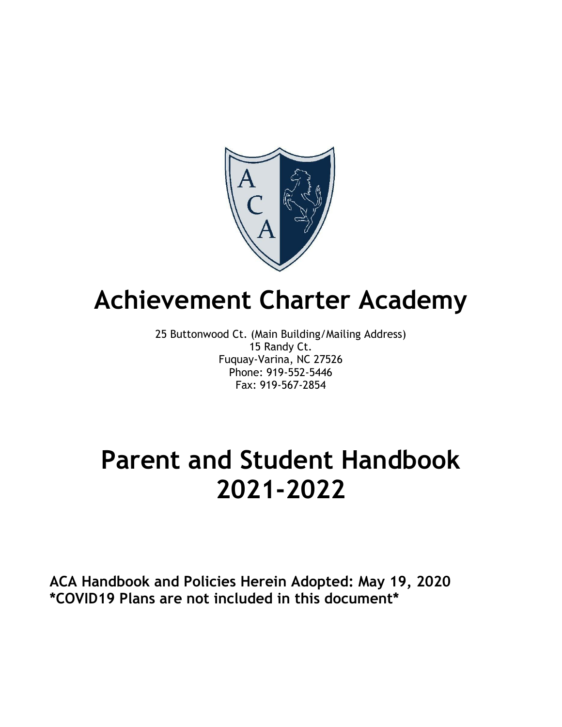

# **Achievement Charter Academy**

25 Buttonwood Ct. (Main Building/Mailing Address) 15 Randy Ct. Fuquay-Varina, NC 27526 Phone: 919-552-5446 Fax: 919-567-2854

# **Parent and Student Handbook 2021-2022**

**ACA Handbook and Policies Herein Adopted: May 19, 2020 \*COVID19 Plans are not included in this document\***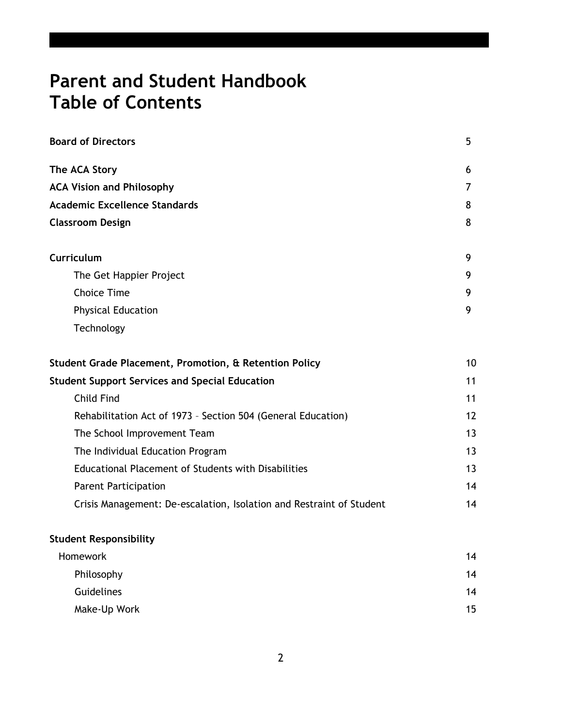# **Parent and Student Handbook Table of Contents**

| <b>Board of Directors</b>                                            | 5              |
|----------------------------------------------------------------------|----------------|
| The ACA Story                                                        | 6              |
| <b>ACA Vision and Philosophy</b>                                     | $\overline{7}$ |
| <b>Academic Excellence Standards</b>                                 | 8              |
| <b>Classroom Design</b>                                              | 8              |
| Curriculum                                                           | 9              |
| The Get Happier Project                                              | 9              |
| <b>Choice Time</b>                                                   | 9              |
| <b>Physical Education</b>                                            | 9              |
| Technology                                                           |                |
| Student Grade Placement, Promotion, & Retention Policy               | 10             |
| <b>Student Support Services and Special Education</b>                | 11             |
| <b>Child Find</b>                                                    | 11             |
| Rehabilitation Act of 1973 - Section 504 (General Education)         | 12             |
| The School Improvement Team                                          | 13             |
| The Individual Education Program                                     | 13             |
| Educational Placement of Students with Disabilities                  | 13             |
| <b>Parent Participation</b>                                          | 14             |
| Crisis Management: De-escalation, Isolation and Restraint of Student | 14             |
| <b>Student Responsibility</b>                                        |                |
|                                                                      |                |

| Homework          | 14 |
|-------------------|----|
| Philosophy        | 14 |
| <b>Guidelines</b> | 14 |
| Make-Up Work      | 15 |
|                   |    |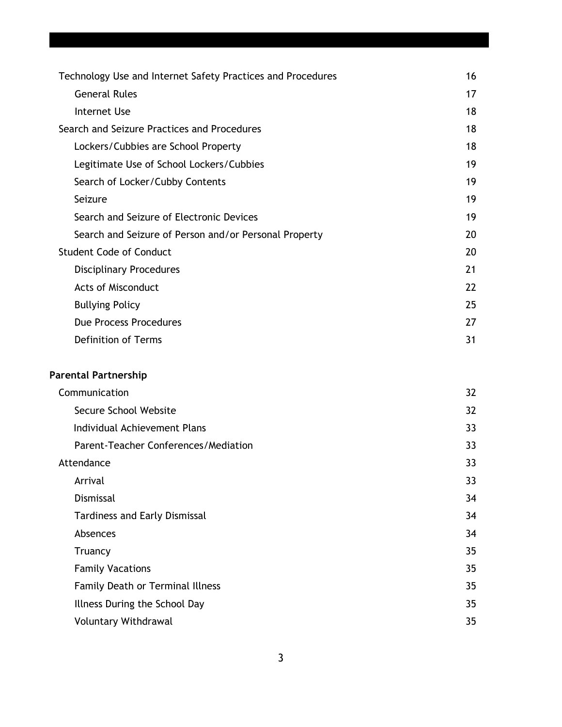| Technology Use and Internet Safety Practices and Procedures<br>16 |    |
|-------------------------------------------------------------------|----|
| <b>General Rules</b>                                              | 17 |
| Internet Use                                                      | 18 |
| Search and Seizure Practices and Procedures                       |    |
| Lockers/Cubbies are School Property                               | 18 |
| Legitimate Use of School Lockers/Cubbies                          | 19 |
| Search of Locker/Cubby Contents                                   | 19 |
| Seizure                                                           | 19 |
| Search and Seizure of Electronic Devices                          | 19 |
| Search and Seizure of Person and/or Personal Property             | 20 |
| <b>Student Code of Conduct</b>                                    | 20 |
| <b>Disciplinary Procedures</b>                                    | 21 |
| <b>Acts of Misconduct</b>                                         | 22 |
| <b>Bullying Policy</b>                                            | 25 |
| Due Process Procedures                                            | 27 |
| <b>Definition of Terms</b>                                        | 31 |

# **Parental Partnership**

| Secure School Website<br>Individual Achievement Plans<br>Parent-Teacher Conferences/Mediation<br>Attendance | 32 |
|-------------------------------------------------------------------------------------------------------------|----|
|                                                                                                             | 32 |
|                                                                                                             | 33 |
|                                                                                                             | 33 |
|                                                                                                             | 33 |
| Arrival                                                                                                     | 33 |
| <b>Dismissal</b>                                                                                            | 34 |
| <b>Tardiness and Early Dismissal</b>                                                                        | 34 |
| Absences                                                                                                    | 34 |
| Truancy                                                                                                     | 35 |
| <b>Family Vacations</b>                                                                                     | 35 |
| <b>Family Death or Terminal Illness</b>                                                                     | 35 |
| Illness During the School Day                                                                               | 35 |
| <b>Voluntary Withdrawal</b>                                                                                 | 35 |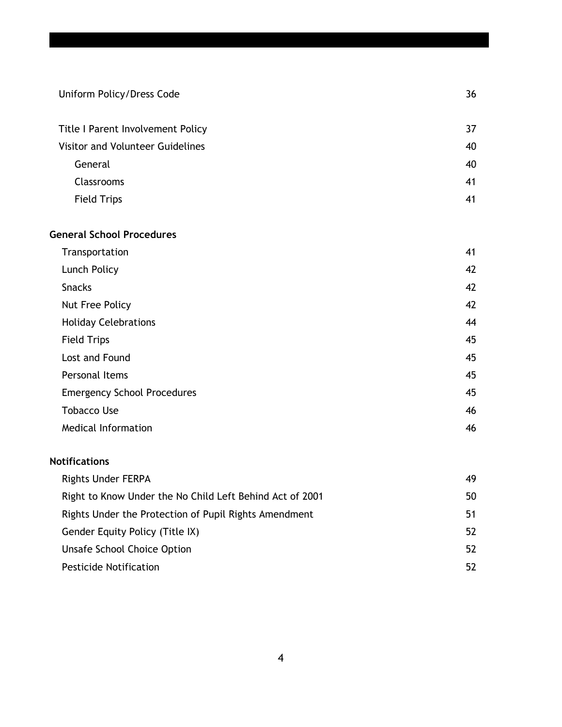| Uniform Policy/Dress Code                                | 36 |
|----------------------------------------------------------|----|
| Title I Parent Involvement Policy                        | 37 |
| Visitor and Volunteer Guidelines                         | 40 |
| General                                                  | 40 |
| Classrooms                                               | 41 |
| <b>Field Trips</b>                                       | 41 |
| <b>General School Procedures</b>                         |    |
| Transportation                                           | 41 |
| Lunch Policy                                             | 42 |
| <b>Snacks</b>                                            | 42 |
| Nut Free Policy                                          | 42 |
| <b>Holiday Celebrations</b>                              | 44 |
| <b>Field Trips</b>                                       | 45 |
| Lost and Found                                           | 45 |
| Personal Items                                           | 45 |
| <b>Emergency School Procedures</b>                       | 45 |
| <b>Tobacco Use</b>                                       | 46 |
| <b>Medical Information</b>                               | 46 |
| <b>Notifications</b>                                     |    |
| <b>Rights Under FERPA</b>                                | 49 |
| Right to Know Under the No Child Left Behind Act of 2001 | 50 |

| Right to Know Under the No Child Left Behind Act of 2001 | 50 |
|----------------------------------------------------------|----|
| Rights Under the Protection of Pupil Rights Amendment    | 51 |
| Gender Equity Policy (Title IX)                          | 52 |
| Unsafe School Choice Option                              | 52 |
| <b>Pesticide Notification</b>                            | 52 |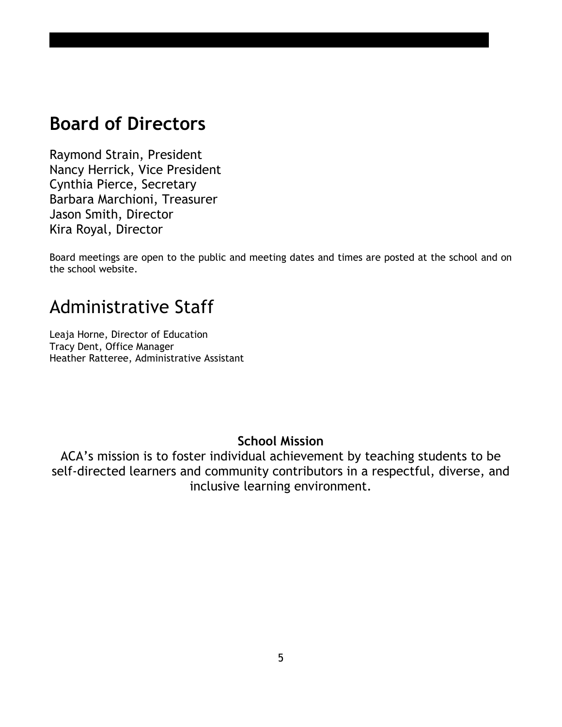# **Board of Directors**

Raymond Strain, President Nancy Herrick, Vice President Cynthia Pierce, Secretary Barbara Marchioni, Treasurer Jason Smith, Director Kira Royal, Director

Board meetings are open to the public and meeting dates and times are posted at the school and on the school website.

# Administrative Staff

Leaja Horne, Director of Education Tracy Dent, Office Manager Heather Ratteree, Administrative Assistant

# **School Mission**

ACA's mission is to foster individual achievement by teaching students to be self-directed learners and community contributors in a respectful, diverse, and inclusive learning environment.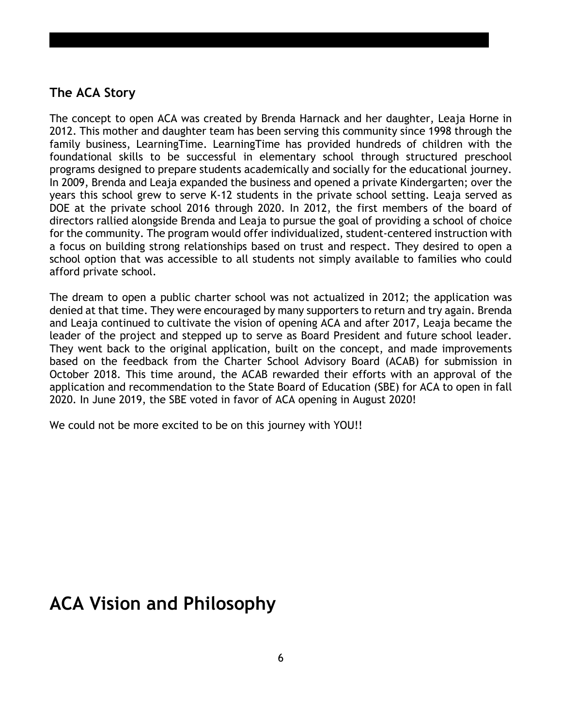# **The ACA Story**

The concept to open ACA was created by Brenda Harnack and her daughter, Leaja Horne in 2012. This mother and daughter team has been serving this community since 1998 through the family business, LearningTime. LearningTime has provided hundreds of children with the foundational skills to be successful in elementary school through structured preschool programs designed to prepare students academically and socially for the educational journey. In 2009, Brenda and Leaja expanded the business and opened a private Kindergarten; over the years this school grew to serve K-12 students in the private school setting. Leaja served as DOE at the private school 2016 through 2020. In 2012, the first members of the board of directors rallied alongside Brenda and Leaja to pursue the goal of providing a school of choice for the community. The program would offer individualized, student-centered instruction with a focus on building strong relationships based on trust and respect. They desired to open a school option that was accessible to all students not simply available to families who could afford private school.

The dream to open a public charter school was not actualized in 2012; the application was denied at that time. They were encouraged by many supporters to return and try again. Brenda and Leaja continued to cultivate the vision of opening ACA and after 2017, Leaja became the leader of the project and stepped up to serve as Board President and future school leader. They went back to the original application, built on the concept, and made improvements based on the feedback from the Charter School Advisory Board (ACAB) for submission in October 2018. This time around, the ACAB rewarded their efforts with an approval of the application and recommendation to the State Board of Education (SBE) for ACA to open in fall 2020. In June 2019, the SBE voted in favor of ACA opening in August 2020!

We could not be more excited to be on this journey with YOU!!

# **ACA Vision and Philosophy**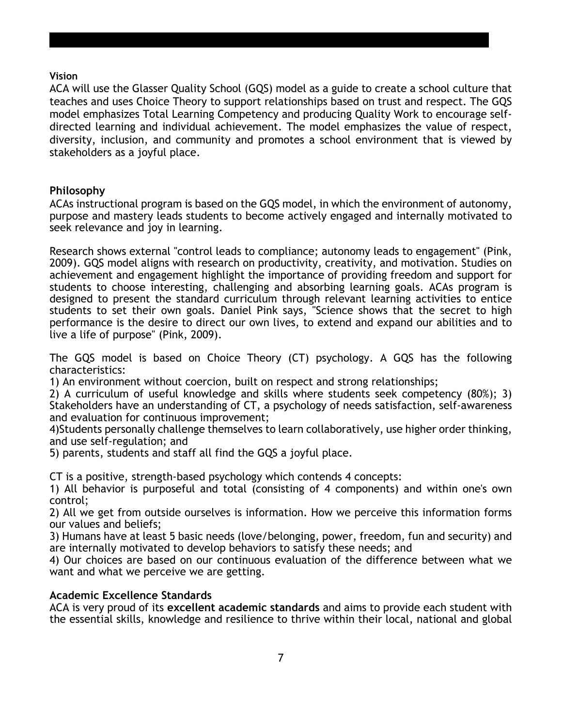#### **Vision**

ACA will use the Glasser Quality School (GQS) model as a guide to create a school culture that teaches and uses Choice Theory to support relationships based on trust and respect. The GQS model emphasizes Total Learning Competency and producing Quality Work to encourage selfdirected learning and individual achievement. The model emphasizes the value of respect, diversity, inclusion, and community and promotes a school environment that is viewed by stakeholders as a joyful place.

#### **Philosophy**

ACAs instructional program is based on the GQS model, in which the environment of autonomy, purpose and mastery leads students to become actively engaged and internally motivated to seek relevance and joy in learning.

Research shows external "control leads to compliance; autonomy leads to engagement" (Pink, 2009). GQS model aligns with research on productivity, creativity, and motivation. Studies on achievement and engagement highlight the importance of providing freedom and support for students to choose interesting, challenging and absorbing learning goals. ACAs program is designed to present the standard curriculum through relevant learning activities to entice students to set their own goals. Daniel Pink says, "Science shows that the secret to high performance is the desire to direct our own lives, to extend and expand our abilities and to live a life of purpose" (Pink, 2009).

The GQS model is based on Choice Theory (CT) psychology. A GQS has the following characteristics:

1) An environment without coercion, built on respect and strong relationships;

2) A curriculum of useful knowledge and skills where students seek competency (80%); 3) Stakeholders have an understanding of CT, a psychology of needs satisfaction, self-awareness and evaluation for continuous improvement;

4)Students personally challenge themselves to learn collaboratively, use higher order thinking, and use self-regulation; and

5) parents, students and staff all find the GQS a joyful place.

CT is a positive, strength-based psychology which contends 4 concepts:

1) All behavior is purposeful and total (consisting of 4 components) and within one's own control;

2) All we get from outside ourselves is information. How we perceive this information forms our values and beliefs;

3) Humans have at least 5 basic needs (love/belonging, power, freedom, fun and security) and are internally motivated to develop behaviors to satisfy these needs; and

4) Our choices are based on our continuous evaluation of the difference between what we want and what we perceive we are getting.

#### **Academic Excellence Standards**

ACA is very proud of its **excellent academic standards** and aims to provide each student with the essential skills, knowledge and resilience to thrive within their local, national and global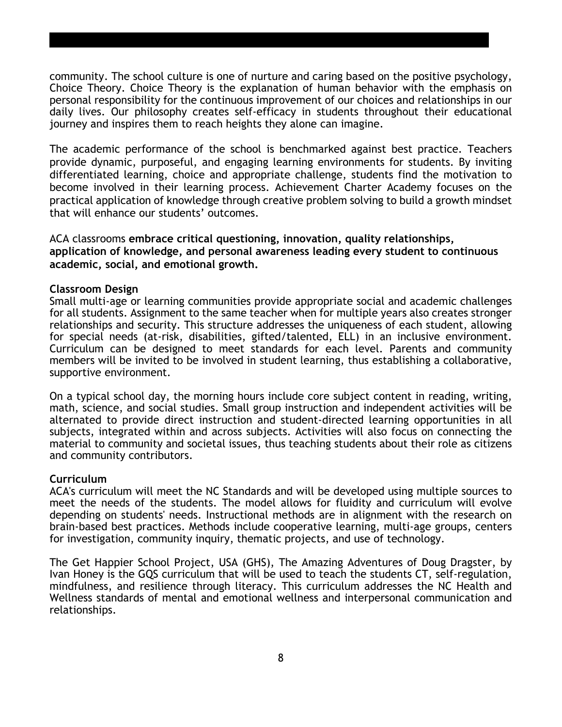community. The school culture is one of nurture and caring based on the positive psychology, Choice Theory. Choice Theory is the explanation of human behavior with the emphasis on personal responsibility for the continuous improvement of our choices and relationships in our daily lives. Our philosophy creates self-efficacy in students throughout their educational journey and inspires them to reach heights they alone can imagine.

The academic performance of the school is benchmarked against best practice. Teachers provide dynamic, purposeful, and engaging learning environments for students. By inviting differentiated learning, choice and appropriate challenge, students find the motivation to become involved in their learning process. Achievement Charter Academy focuses on the practical application of knowledge through creative problem solving to build a growth mindset that will enhance our students' outcomes.

ACA classrooms **embrace critical questioning, innovation, quality relationships, application of knowledge, and personal awareness leading every student to continuous academic, social, and emotional growth.**

#### **Classroom Design**

Small multi-age or learning communities provide appropriate social and academic challenges for all students. Assignment to the same teacher when for multiple years also creates stronger relationships and security. This structure addresses the uniqueness of each student, allowing for special needs (at-risk, disabilities, gifted/talented, ELL) in an inclusive environment. Curriculum can be designed to meet standards for each level. Parents and community members will be invited to be involved in student learning, thus establishing a collaborative, supportive environment.

On a typical school day, the morning hours include core subject content in reading, writing, math, science, and social studies. Small group instruction and independent activities will be alternated to provide direct instruction and student-directed learning opportunities in all subjects, integrated within and across subjects. Activities will also focus on connecting the material to community and societal issues, thus teaching students about their role as citizens and community contributors.

#### **Curriculum**

ACA's curriculum will meet the NC Standards and will be developed using multiple sources to meet the needs of the students. The model allows for fluidity and curriculum will evolve depending on students' needs. Instructional methods are in alignment with the research on brain-based best practices. Methods include cooperative learning, multi-age groups, centers for investigation, community inquiry, thematic projects, and use of technology.

The Get Happier School Project, USA (GHS), The Amazing Adventures of Doug Dragster, by Ivan Honey is the GQS curriculum that will be used to teach the students CT, self-regulation, mindfulness, and resilience through literacy. This curriculum addresses the NC Health and Wellness standards of mental and emotional wellness and interpersonal communication and relationships.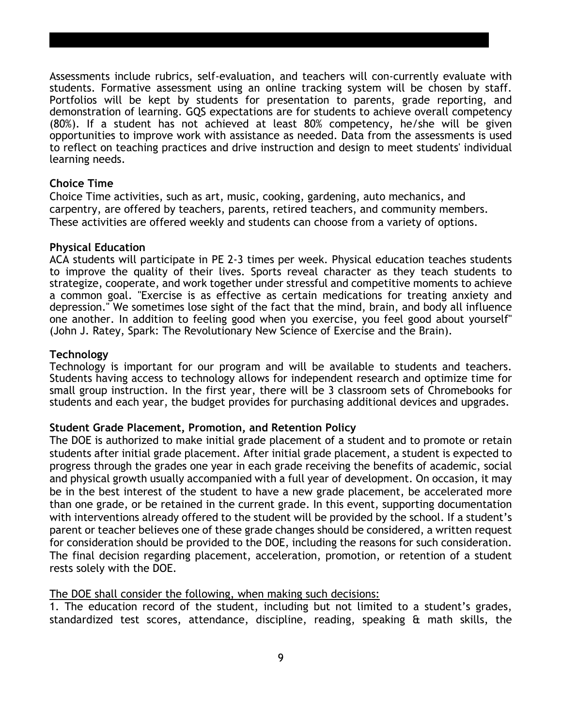Assessments include rubrics, self-evaluation, and teachers will con-currently evaluate with students. Formative assessment using an online tracking system will be chosen by staff. Portfolios will be kept by students for presentation to parents, grade reporting, and demonstration of learning. GQS expectations are for students to achieve overall competency (80%). If a student has not achieved at least 80% competency, he/she will be given opportunities to improve work with assistance as needed. Data from the assessments is used to reflect on teaching practices and drive instruction and design to meet students' individual learning needs.

#### **Choice Time**

Choice Time activities, such as art, music, cooking, gardening, auto mechanics, and carpentry, are offered by teachers, parents, retired teachers, and community members. These activities are offered weekly and students can choose from a variety of options.

#### **Physical Education**

ACA students will participate in PE 2-3 times per week. Physical education teaches students to improve the quality of their lives. Sports reveal character as they teach students to strategize, cooperate, and work together under stressful and competitive moments to achieve a common goal. "Exercise is as effective as certain medications for treating anxiety and depression." We sometimes lose sight of the fact that the mind, brain, and body all influence one another. In addition to feeling good when you exercise, you feel good about yourself" (John J. Ratey, Spark: The Revolutionary New Science of Exercise and the Brain).

#### **Technology**

Technology is important for our program and will be available to students and teachers. Students having access to technology allows for independent research and optimize time for small group instruction. In the first year, there will be 3 classroom sets of Chromebooks for students and each year, the budget provides for purchasing additional devices and upgrades.

#### **Student Grade Placement, Promotion, and Retention Policy**

The DOE is authorized to make initial grade placement of a student and to promote or retain students after initial grade placement. After initial grade placement, a student is expected to progress through the grades one year in each grade receiving the benefits of academic, social and physical growth usually accompanied with a full year of development. On occasion, it may be in the best interest of the student to have a new grade placement, be accelerated more than one grade, or be retained in the current grade. In this event, supporting documentation with interventions already offered to the student will be provided by the school. If a student's parent or teacher believes one of these grade changes should be considered, a written request for consideration should be provided to the DOE, including the reasons for such consideration. The final decision regarding placement, acceleration, promotion, or retention of a student rests solely with the DOE.

#### The DOE shall consider the following, when making such decisions:

1. The education record of the student, including but not limited to a student's grades, standardized test scores, attendance, discipline, reading, speaking & math skills, the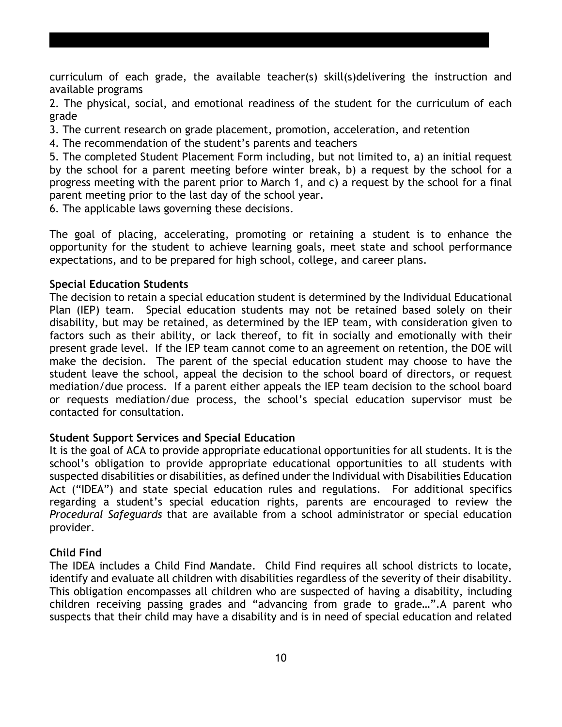curriculum of each grade, the available teacher(s) skill(s)delivering the instruction and available programs

2. The physical, social, and emotional readiness of the student for the curriculum of each grade

3. The current research on grade placement, promotion, acceleration, and retention

4. The recommendation of the student's parents and teachers

5. The completed Student Placement Form including, but not limited to, a) an initial request by the school for a parent meeting before winter break, b) a request by the school for a progress meeting with the parent prior to March 1, and c) a request by the school for a final parent meeting prior to the last day of the school year.

6. The applicable laws governing these decisions.

The goal of placing, accelerating, promoting or retaining a student is to enhance the opportunity for the student to achieve learning goals, meet state and school performance expectations, and to be prepared for high school, college, and career plans.

#### **Special Education Students**

The decision to retain a special education student is determined by the Individual Educational Plan (IEP) team. Special education students may not be retained based solely on their disability, but may be retained, as determined by the IEP team, with consideration given to factors such as their ability, or lack thereof, to fit in socially and emotionally with their present grade level. If the IEP team cannot come to an agreement on retention, the DOE will make the decision. The parent of the special education student may choose to have the student leave the school, appeal the decision to the school board of directors, or request mediation/due process. If a parent either appeals the IEP team decision to the school board or requests mediation/due process, the school's special education supervisor must be contacted for consultation.

#### **Student Support Services and Special Education**

It is the goal of ACA to provide appropriate educational opportunities for all students. It is the school's obligation to provide appropriate educational opportunities to all students with suspected disabilities or disabilities, as defined under the Individual with Disabilities Education Act ("IDEA") and state special education rules and regulations. For additional specifics regarding a student's special education rights, parents are encouraged to review the *Procedural Safeguards* that are available from a school administrator or special education provider.

#### **Child Find**

The IDEA includes a Child Find Mandate. Child Find requires all school districts to locate, identify and evaluate all children with disabilities regardless of the severity of their disability. This obligation encompasses all children who are suspected of having a disability, including children receiving passing grades and "advancing from grade to grade…".A parent who suspects that their child may have a disability and is in need of special education and related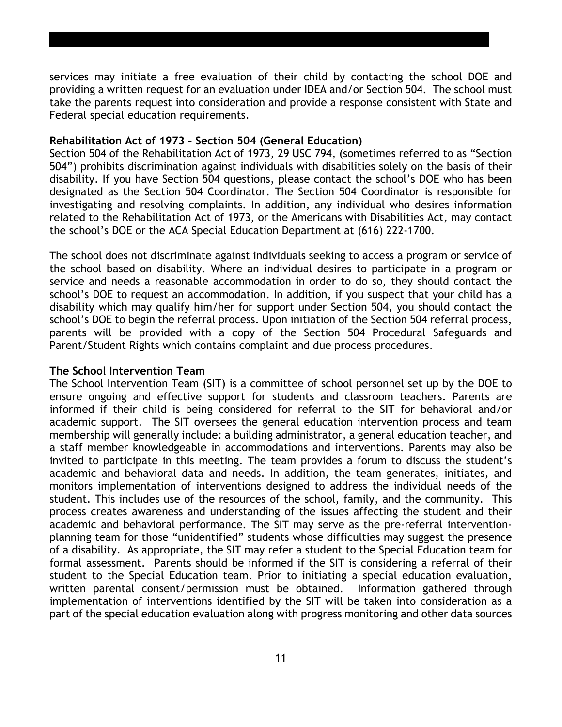services may initiate a free evaluation of their child by contacting the school DOE and providing a written request for an evaluation under IDEA and/or Section 504. The school must take the parents request into consideration and provide a response consistent with State and Federal special education requirements.

#### **Rehabilitation Act of 1973 – Section 504 (General Education)**

Section 504 of the Rehabilitation Act of 1973, 29 USC 794, (sometimes referred to as "Section 504") prohibits discrimination against individuals with disabilities solely on the basis of their disability. If you have Section 504 questions, please contact the school's DOE who has been designated as the Section 504 Coordinator. The Section 504 Coordinator is responsible for investigating and resolving complaints. In addition, any individual who desires information related to the Rehabilitation Act of 1973, or the Americans with Disabilities Act, may contact the school's DOE or the ACA Special Education Department at (616) 222-1700.

The school does not discriminate against individuals seeking to access a program or service of the school based on disability. Where an individual desires to participate in a program or service and needs a reasonable accommodation in order to do so, they should contact the school's DOE to request an accommodation. In addition, if you suspect that your child has a disability which may qualify him/her for support under Section 504, you should contact the school's DOE to begin the referral process. Upon initiation of the Section 504 referral process, parents will be provided with a copy of the Section 504 Procedural Safeguards and Parent/Student Rights which contains complaint and due process procedures.

#### **The School Intervention Team**

The School Intervention Team (SIT) is a committee of school personnel set up by the DOE to ensure ongoing and effective support for students and classroom teachers. Parents are informed if their child is being considered for referral to the SIT for behavioral and/or academic support. The SIT oversees the general education intervention process and team membership will generally include: a building administrator, a general education teacher, and a staff member knowledgeable in accommodations and interventions. Parents may also be invited to participate in this meeting. The team provides a forum to discuss the student's academic and behavioral data and needs. In addition, the team generates, initiates, and monitors implementation of interventions designed to address the individual needs of the student. This includes use of the resources of the school, family, and the community. This process creates awareness and understanding of the issues affecting the student and their academic and behavioral performance. The SIT may serve as the pre-referral interventionplanning team for those "unidentified" students whose difficulties may suggest the presence of a disability. As appropriate, the SIT may refer a student to the Special Education team for formal assessment. Parents should be informed if the SIT is considering a referral of their student to the Special Education team. Prior to initiating a special education evaluation, written parental consent/permission must be obtained. Information gathered through implementation of interventions identified by the SIT will be taken into consideration as a part of the special education evaluation along with progress monitoring and other data sources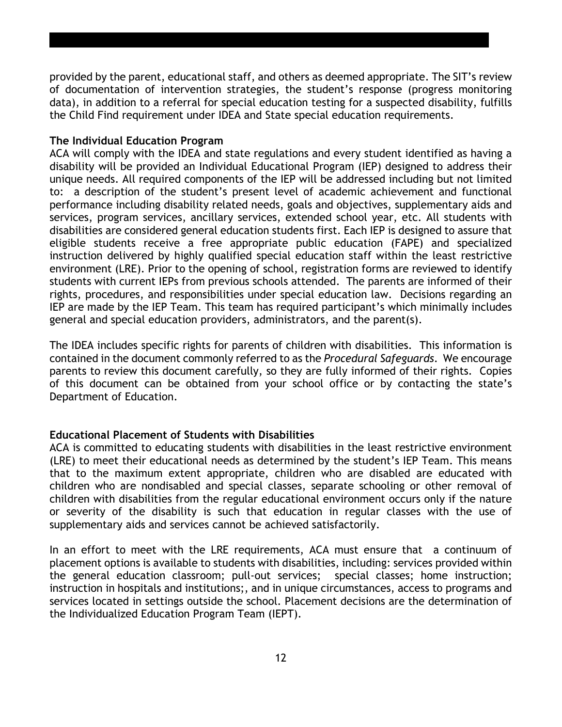provided by the parent, educational staff, and others as deemed appropriate. The SIT's review of documentation of intervention strategies, the student's response (progress monitoring data), in addition to a referral for special education testing for a suspected disability, fulfills the Child Find requirement under IDEA and State special education requirements.

#### **The Individual Education Program**

ACA will comply with the IDEA and state regulations and every student identified as having a disability will be provided an Individual Educational Program (IEP) designed to address their unique needs. All required components of the IEP will be addressed including but not limited to: a description of the student's present level of academic achievement and functional performance including disability related needs, goals and objectives, supplementary aids and services, program services, ancillary services, extended school year, etc. All students with disabilities are considered general education students first. Each IEP is designed to assure that eligible students receive a free appropriate public education (FAPE) and specialized instruction delivered by highly qualified special education staff within the least restrictive environment (LRE). Prior to the opening of school, registration forms are reviewed to identify students with current IEPs from previous schools attended. The parents are informed of their rights, procedures, and responsibilities under special education law. Decisions regarding an IEP are made by the IEP Team. This team has required participant's which minimally includes general and special education providers, administrators, and the parent(s).

The IDEA includes specific rights for parents of children with disabilities. This information is contained in the document commonly referred to as the *Procedural Safeguards*. We encourage parents to review this document carefully, so they are fully informed of their rights. Copies of this document can be obtained from your school office or by contacting the state's Department of Education.

#### **Educational Placement of Students with Disabilities**

ACA is committed to educating students with disabilities in the least restrictive environment (LRE) to meet their educational needs as determined by the student's IEP Team. This means that to the maximum extent appropriate, children who are disabled are educated with children who are nondisabled and special classes, separate schooling or other removal of children with disabilities from the regular educational environment occurs only if the nature or severity of the disability is such that education in regular classes with the use of supplementary aids and services cannot be achieved satisfactorily.

In an effort to meet with the LRE requirements, ACA must ensure that a continuum of placement options is available to students with disabilities, including: services provided within the general education classroom; pull-out services; special classes; home instruction; instruction in hospitals and institutions;, and in unique circumstances, access to programs and services located in settings outside the school. Placement decisions are the determination of the Individualized Education Program Team (IEPT).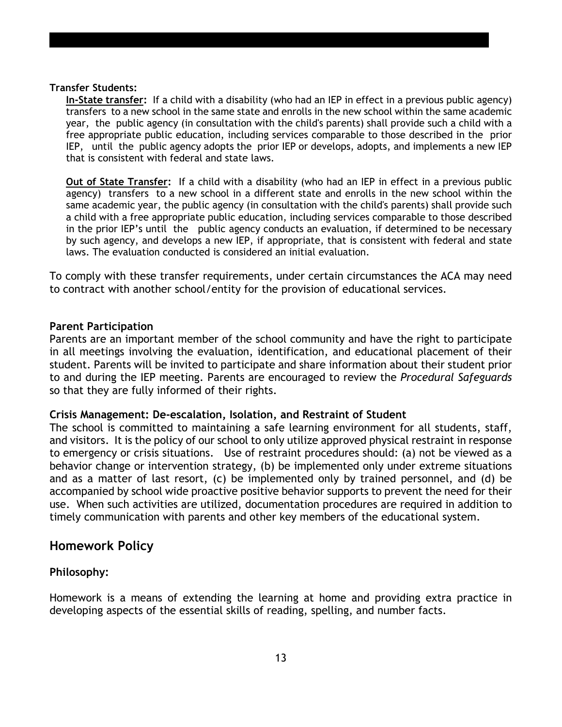#### **Transfer Students:**

**In-State transfer:** If a child with a disability (who had an IEP in effect in a previous public agency) transfers to a new school in the same state and enrolls in the new school within the same academic year, the public agency (in consultation with the child's parents) shall provide such a child with a free appropriate public education, including services comparable to those described in the prior IEP, until the public agency adopts the prior IEP or develops, adopts, and implements a new IEP that is consistent with federal and state laws.

**Out of State Transfer:** If a child with a disability (who had an IEP in effect in a previous public agency) transfers to a new school in a different state and enrolls in the new school within the same academic year, the public agency (in consultation with the child's parents) shall provide such a child with a free appropriate public education, including services comparable to those described in the prior IEP's until the public agency conducts an evaluation, if determined to be necessary by such agency, and develops a new IEP, if appropriate, that is consistent with federal and state laws. The evaluation conducted is considered an initial evaluation.

To comply with these transfer requirements, under certain circumstances the ACA may need to contract with another school/entity for the provision of educational services.

#### **Parent Participation**

Parents are an important member of the school community and have the right to participate in all meetings involving the evaluation, identification, and educational placement of their student. Parents will be invited to participate and share information about their student prior to and during the IEP meeting. Parents are encouraged to review the *Procedural Safeguards*  so that they are fully informed of their rights.

#### **Crisis Management: De-escalation, Isolation, and Restraint of Student**

The school is committed to maintaining a safe learning environment for all students, staff, and visitors. It is the policy of our school to only utilize approved physical restraint in response to emergency or crisis situations. Use of restraint procedures should: (a) not be viewed as a behavior change or intervention strategy, (b) be implemented only under extreme situations and as a matter of last resort, (c) be implemented only by trained personnel, and (d) be accompanied by school wide proactive positive behavior supports to prevent the need for their use. When such activities are utilized, documentation procedures are required in addition to timely communication with parents and other key members of the educational system.

#### **Homework Policy**

#### **Philosophy:**

Homework is a means of extending the learning at home and providing extra practice in developing aspects of the essential skills of reading, spelling, and number facts.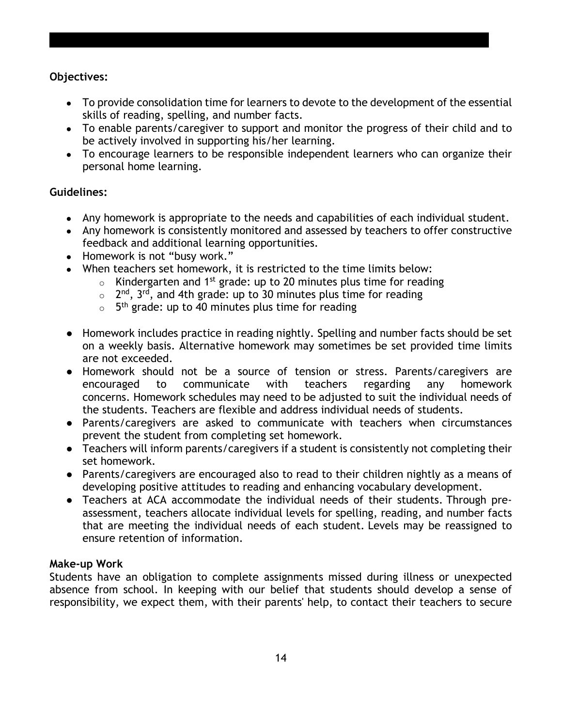#### **Objectives:**

- To provide consolidation time for learners to devote to the development of the essential skills of reading, spelling, and number facts.
- To enable parents/caregiver to support and monitor the progress of their child and to be actively involved in supporting his/her learning.
- To encourage learners to be responsible independent learners who can organize their personal home learning.

#### **Guidelines:**

- Any homework is appropriate to the needs and capabilities of each individual student.
- Any homework is consistently monitored and assessed by teachers to offer constructive feedback and additional learning opportunities.
- Homework is not "busy work."
- When teachers set homework, it is restricted to the time limits below:
	- $\circ$  Kindergarten and 1<sup>st</sup> grade: up to 20 minutes plus time for reading
	- $\circ$  2<sup>nd</sup>, 3<sup>rd</sup>, and 4th grade: up to 30 minutes plus time for reading
	- $\circ$  5<sup>th</sup> grade: up to 40 minutes plus time for reading
- Homework includes practice in reading nightly. Spelling and number facts should be set on a weekly basis. Alternative homework may sometimes be set provided time limits are not exceeded.
- Homework should not be a source of tension or stress. Parents/caregivers are encouraged to communicate with teachers regarding any homework concerns. Homework schedules may need to be adjusted to suit the individual needs of the students. Teachers are flexible and address individual needs of students.
- Parents/caregivers are asked to communicate with teachers when circumstances prevent the student from completing set homework.
- Teachers will inform parents/caregivers if a student is consistently not completing their set homework.
- Parents/caregivers are encouraged also to read to their children nightly as a means of developing positive attitudes to reading and enhancing vocabulary development.
- Teachers at ACA accommodate the individual needs of their students. Through preassessment, teachers allocate individual levels for spelling, reading, and number facts that are meeting the individual needs of each student. Levels may be reassigned to ensure retention of information.

#### **Make-up Work**

Students have an obligation to complete assignments missed during illness or unexpected absence from school. In keeping with our belief that students should develop a sense of responsibility, we expect them, with their parents' help, to contact their teachers to secure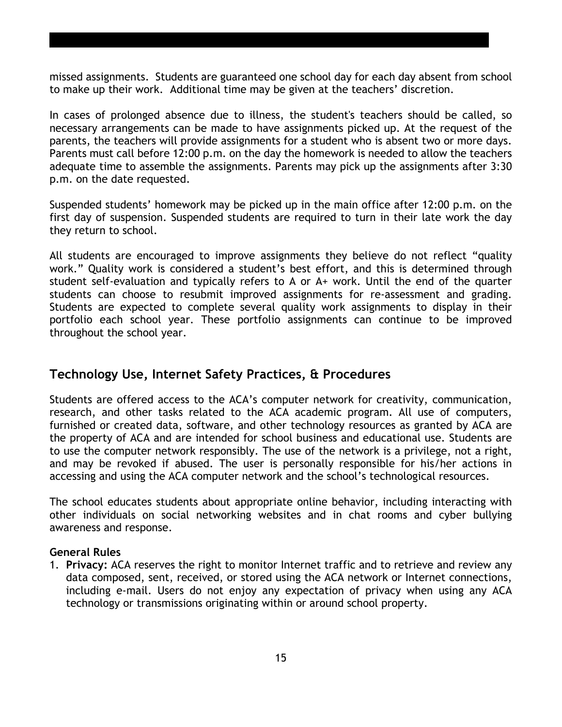missed assignments. Students are guaranteed one school day for each day absent from school to make up their work. Additional time may be given at the teachers' discretion.

In cases of prolonged absence due to illness, the student's teachers should be called, so necessary arrangements can be made to have assignments picked up. At the request of the parents, the teachers will provide assignments for a student who is absent two or more days. Parents must call before 12:00 p.m. on the day the homework is needed to allow the teachers adequate time to assemble the assignments. Parents may pick up the assignments after 3:30 p.m. on the date requested.

Suspended students' homework may be picked up in the main office after 12:00 p.m. on the first day of suspension. Suspended students are required to turn in their late work the day they return to school.

All students are encouraged to improve assignments they believe do not reflect "quality work." Quality work is considered a student's best effort, and this is determined through student self-evaluation and typically refers to A or A+ work. Until the end of the quarter students can choose to resubmit improved assignments for re-assessment and grading. Students are expected to complete several quality work assignments to display in their portfolio each school year. These portfolio assignments can continue to be improved throughout the school year.

## **Technology Use, Internet Safety Practices, & Procedures**

Students are offered access to the ACA's computer network for creativity, communication, research, and other tasks related to the ACA academic program. All use of computers, furnished or created data, software, and other technology resources as granted by ACA are the property of ACA and are intended for school business and educational use. Students are to use the computer network responsibly. The use of the network is a privilege, not a right, and may be revoked if abused. The user is personally responsible for his/her actions in accessing and using the ACA computer network and the school's technological resources.

The school educates students about appropriate online behavior, including interacting with other individuals on social networking websites and in chat rooms and cyber bullying awareness and response.

#### **General Rules**

1. **Privacy:** ACA reserves the right to monitor Internet traffic and to retrieve and review any data composed, sent, received, or stored using the ACA network or Internet connections, including e-mail. Users do not enjoy any expectation of privacy when using any ACA technology or transmissions originating within or around school property.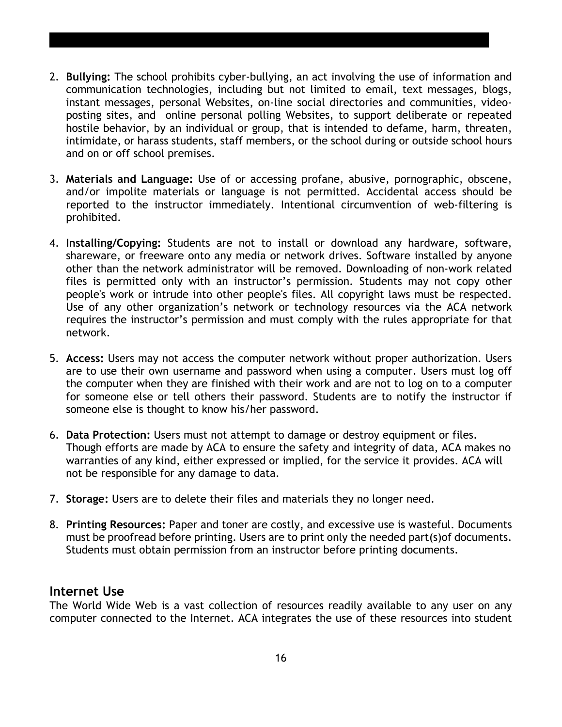- 2. **Bullying:** The school prohibits cyber-bullying, an act involving the use of information and communication technologies, including but not limited to email, text messages, blogs, instant messages, personal Websites, on-line social directories and communities, videoposting sites, and online personal polling Websites, to support deliberate or repeated hostile behavior, by an individual or group, that is intended to defame, harm, threaten, intimidate, or harass students, staff members, or the school during or outside school hours and on or off school premises.
- 3. **Materials and Language:** Use of or accessing profane, abusive, pornographic, obscene, and/or impolite materials or language is not permitted. Accidental access should be reported to the instructor immediately. Intentional circumvention of web-filtering is prohibited.
- 4. **Installing/Copying:** Students are not to install or download any hardware, software, shareware, or freeware onto any media or network drives. Software installed by anyone other than the network administrator will be removed. Downloading of non-work related files is permitted only with an instructor's permission. Students may not copy other people's work or intrude into other people's files. All copyright laws must be respected. Use of any other organization's network or technology resources via the ACA network requires the instructor's permission and must comply with the rules appropriate for that network.
- 5. **Access:** Users may not access the computer network without proper authorization. Users are to use their own username and password when using a computer. Users must log off the computer when they are finished with their work and are not to log on to a computer for someone else or tell others their password. Students are to notify the instructor if someone else is thought to know his/her password.
- 6. **Data Protection:** Users must not attempt to damage or destroy equipment or files. Though efforts are made by ACA to ensure the safety and integrity of data, ACA makes no warranties of any kind, either expressed or implied, for the service it provides. ACA will not be responsible for any damage to data.
- 7. **Storage:** Users are to delete their files and materials they no longer need.
- 8. **Printing Resources:** Paper and toner are costly, and excessive use is wasteful. Documents must be proofread before printing. Users are to print only the needed part(s)of documents. Students must obtain permission from an instructor before printing documents.

## **Internet Use**

The World Wide Web is a vast collection of resources readily available to any user on any computer connected to the Internet. ACA integrates the use of these resources into student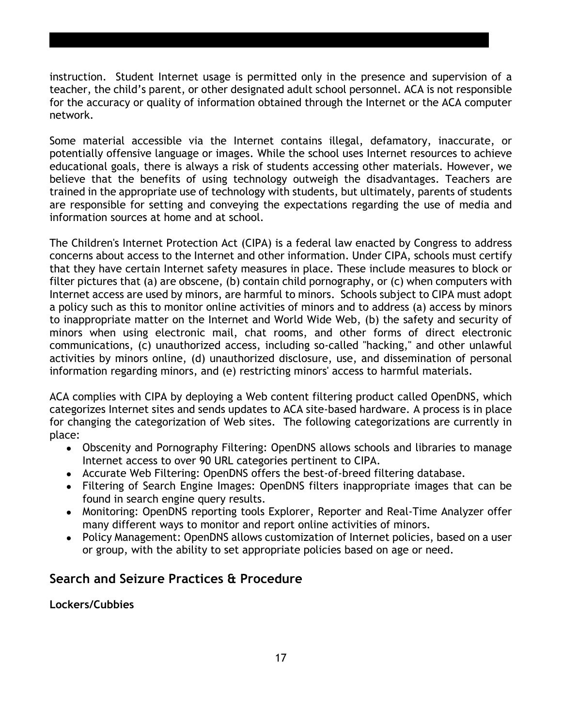instruction. Student Internet usage is permitted only in the presence and supervision of a teacher, the child's parent, or other designated adult school personnel. ACA is not responsible for the accuracy or quality of information obtained through the Internet or the ACA computer network.

Some material accessible via the Internet contains illegal, defamatory, inaccurate, or potentially offensive language or images. While the school uses Internet resources to achieve educational goals, there is always a risk of students accessing other materials. However, we believe that the benefits of using technology outweigh the disadvantages. Teachers are trained in the appropriate use of technology with students, but ultimately, parents of students are responsible for setting and conveying the expectations regarding the use of media and information sources at home and at school.

The Children's Internet Protection Act (CIPA) is a federal law enacted by Congress to address concerns about access to the Internet and other information. Under CIPA, schools must certify that they have certain Internet safety measures in place. These include measures to block or filter pictures that (a) are obscene, (b) contain child pornography, or (c) when computers with Internet access are used by minors, are harmful to minors. Schools subject to CIPA must adopt a policy such as this to monitor online activities of minors and to address (a) access by minors to inappropriate matter on the Internet and World Wide Web, (b) the safety and security of minors when using electronic mail, chat rooms, and other forms of direct electronic communications, (c) unauthorized access, including so-called "hacking," and other unlawful activities by minors online, (d) unauthorized disclosure, use, and dissemination of personal information regarding minors, and (e) restricting minors' access to harmful materials.

ACA complies with CIPA by deploying a Web content filtering product called OpenDNS, which categorizes Internet sites and sends updates to ACA site-based hardware. A process is in place for changing the categorization of Web sites. The following categorizations are currently in place:

- Obscenity and Pornography Filtering: OpenDNS allows schools and libraries to manage Internet access to over 90 URL categories pertinent to CIPA.
- Accurate Web Filtering: OpenDNS offers the best-of-breed filtering database.
- Filtering of Search Engine Images: OpenDNS filters inappropriate images that can be found in search engine query results.
- Monitoring: OpenDNS reporting tools Explorer, Reporter and Real-Time Analyzer offer many different ways to monitor and report online activities of minors.
- Policy Management: OpenDNS allows customization of Internet policies, based on a user or group, with the ability to set appropriate policies based on age or need.

# **Search and Seizure Practices & Procedure**

**Lockers/Cubbies**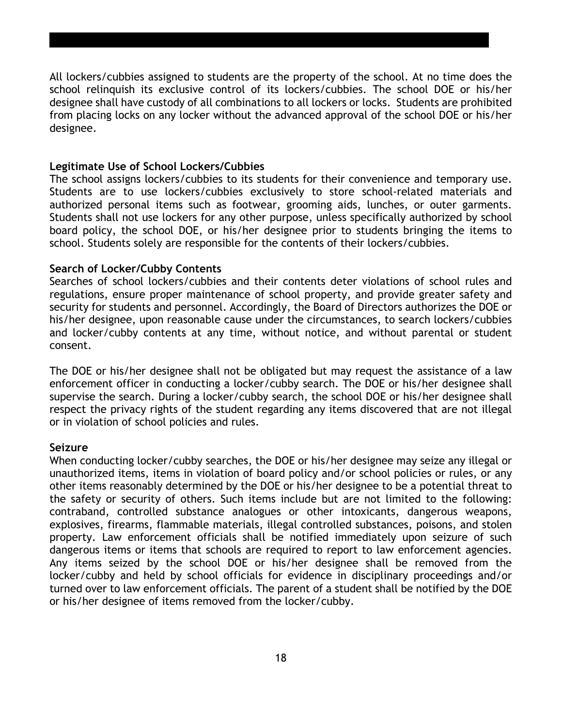All lockers/cubbies assigned to students are the property of the school. At no time does the school relinquish its exclusive control of its lockers/cubbies. The school DOE or his/her designee shall have custody of all combinations to all lockers or locks. Students are prohibited from placing locks on any locker without the advanced approval of the school DOE or his/her designee.

#### **Legitimate Use of School Lockers/Cubbies**

The school assigns lockers/cubbies to its students for their convenience and temporary use. Students are to use lockers/cubbies exclusively to store school-related materials and authorized personal items such as footwear, grooming aids, lunches, or outer garments. Students shall not use lockers for any other purpose, unless specifically authorized by school board policy, the school DOE, or his/her designee prior to students bringing the items to school. Students solely are responsible for the contents of their lockers/cubbies.

#### **Search of Locker/Cubby Contents**

Searches of school lockers/cubbies and their contents deter violations of school rules and regulations, ensure proper maintenance of school property, and provide greater safety and security for students and personnel. Accordingly, the Board of Directors authorizes the DOE or his/her designee, upon reasonable cause under the circumstances, to search lockers/cubbies and locker/cubby contents at any time, without notice, and without parental or student consent.

The DOE or his/her designee shall not be obligated but may request the assistance of a law enforcement officer in conducting a locker/cubby search. The DOE or his/her designee shall supervise the search. During a locker/cubby search, the school DOE or his/her designee shall respect the privacy rights of the student regarding any items discovered that are not illegal or in violation of school policies and rules.

#### **Seizure**

When conducting locker/cubby searches, the DOE or his/her designee may seize any illegal or unauthorized items, items in violation of board policy and/or school policies or rules, or any other items reasonably determined by the DOE or his/her designee to be a potential threat to the safety or security of others. Such items include but are not limited to the following: contraband, controlled substance analogues or other intoxicants, dangerous weapons, explosives, firearms, flammable materials, illegal controlled substances, poisons, and stolen property. Law enforcement officials shall be notified immediately upon seizure of such dangerous items or items that schools are required to report to law enforcement agencies. Any items seized by the school DOE or his/her designee shall be removed from the locker/cubby and held by school officials for evidence in disciplinary proceedings and/or turned over to law enforcement officials. The parent of a student shall be notified by the DOE or his/her designee of items removed from the locker/cubby.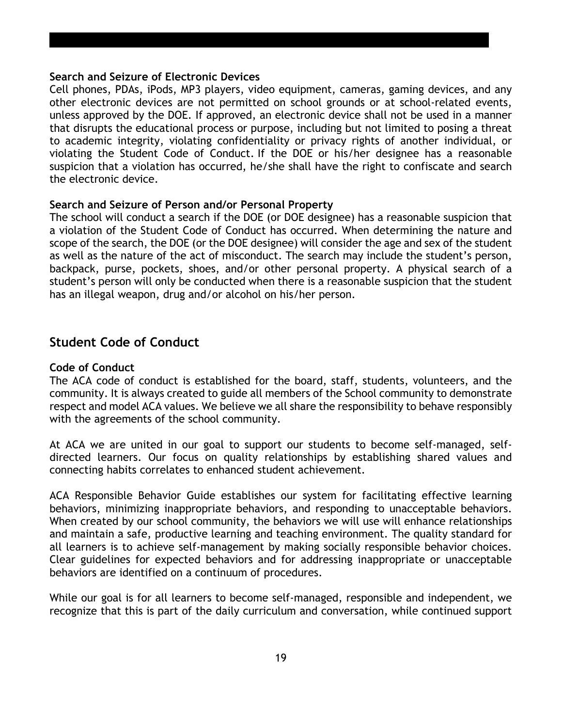#### **Search and Seizure of Electronic Devices**

Cell phones, PDAs, iPods, MP3 players, video equipment, cameras, gaming devices, and any other electronic devices are not permitted on school grounds or at school-related events, unless approved by the DOE. If approved, an electronic device shall not be used in a manner that disrupts the educational process or purpose, including but not limited to posing a threat to academic integrity, violating confidentiality or privacy rights of another individual, or violating the Student Code of Conduct. If the DOE or his/her designee has a reasonable suspicion that a violation has occurred, he/she shall have the right to confiscate and search the electronic device.

#### **Search and Seizure of Person and/or Personal Property**

The school will conduct a search if the DOE (or DOE designee) has a reasonable suspicion that a violation of the Student Code of Conduct has occurred. When determining the nature and scope of the search, the DOE (or the DOE designee) will consider the age and sex of the student as well as the nature of the act of misconduct. The search may include the student's person, backpack, purse, pockets, shoes, and/or other personal property. A physical search of a student's person will only be conducted when there is a reasonable suspicion that the student has an illegal weapon, drug and/or alcohol on his/her person.

#### **Student Code of Conduct**

#### **Code of Conduct**

The ACA code of conduct is established for the board, staff, students, volunteers, and the community. It is always created to guide all members of the School community to demonstrate respect and model ACA values. We believe we all share the responsibility to behave responsibly with the agreements of the school community.

At ACA we are united in our goal to support our students to become self-managed, selfdirected learners. Our focus on quality relationships by establishing shared values and connecting habits correlates to enhanced student achievement.

ACA Responsible Behavior Guide establishes our system for facilitating effective learning behaviors, minimizing inappropriate behaviors, and responding to unacceptable behaviors. When created by our school community, the behaviors we will use will enhance relationships and maintain a safe, productive learning and teaching environment. The quality standard for all learners is to achieve self-management by making socially responsible behavior choices. Clear guidelines for expected behaviors and for addressing inappropriate or unacceptable behaviors are identified on a continuum of procedures.

While our goal is for all learners to become self-managed, responsible and independent, we recognize that this is part of the daily curriculum and conversation, while continued support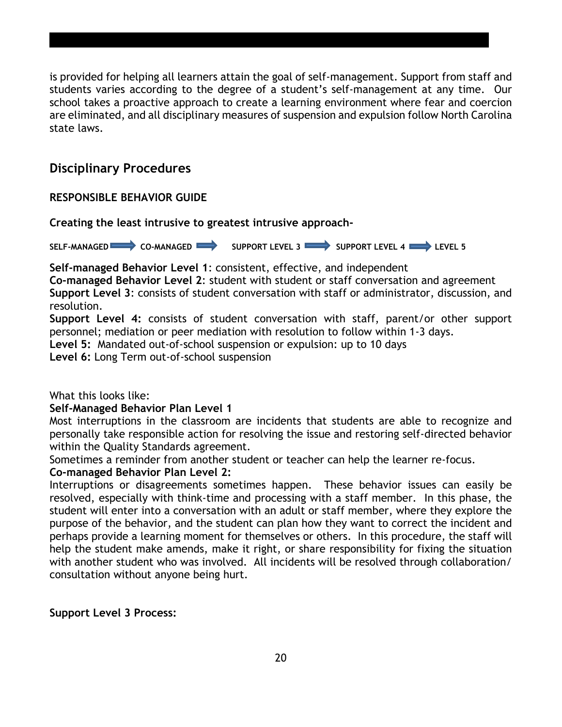is provided for helping all learners attain the goal of self-management. Support from staff and students varies according to the degree of a student's self-management at any time. Our school takes a proactive approach to create a learning environment where fear and coercion are eliminated, and all disciplinary measures of suspension and expulsion follow North Carolina state laws.

# **Disciplinary Procedures**

#### **RESPONSIBLE BEHAVIOR GUIDE**

**Creating the least intrusive to greatest intrusive approach-**

SELF-MANAGED CO-MANAGED SUPPORT LEVEL 3 SUPPORT LEVEL 4

**Self-managed Behavior Level 1**: consistent, effective, and independent

**Co-managed Behavior Level 2**: student with student or staff conversation and agreement **Support Level 3**: consists of student conversation with staff or administrator, discussion, and resolution.

**Support Level 4:** consists of student conversation with staff, parent/or other support personnel; mediation or peer mediation with resolution to follow within 1-3 days.

**Level 5:** Mandated out-of-school suspension or expulsion: up to 10 days

**Level 6:** Long Term out-of-school suspension

What this looks like:

#### **Self-Managed Behavior Plan Level 1**

Most interruptions in the classroom are incidents that students are able to recognize and personally take responsible action for resolving the issue and restoring self-directed behavior within the Quality Standards agreement.

Sometimes a reminder from another student or teacher can help the learner re-focus.

#### **Co-managed Behavior Plan Level 2:**

Interruptions or disagreements sometimes happen. These behavior issues can easily be resolved, especially with think-time and processing with a staff member. In this phase, the student will enter into a conversation with an adult or staff member, where they explore the purpose of the behavior, and the student can plan how they want to correct the incident and perhaps provide a learning moment for themselves or others. In this procedure, the staff will help the student make amends, make it right, or share responsibility for fixing the situation with another student who was involved. All incidents will be resolved through collaboration/ consultation without anyone being hurt.

#### **Support Level 3 Process:**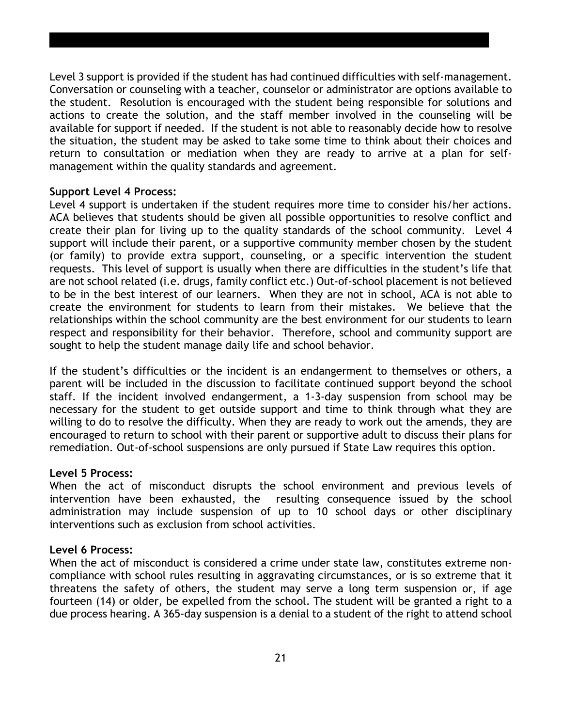Level 3 support is provided if the student has had continued difficulties with self-management. Conversation or counseling with a teacher, counselor or administrator are options available to the student. Resolution is encouraged with the student being responsible for solutions and actions to create the solution, and the staff member involved in the counseling will be available for support if needed. If the student is not able to reasonably decide how to resolve the situation, the student may be asked to take some time to think about their choices and return to consultation or mediation when they are ready to arrive at a plan for selfmanagement within the quality standards and agreement.

#### **Support Level 4 Process:**

Level 4 support is undertaken if the student requires more time to consider his/her actions. ACA believes that students should be given all possible opportunities to resolve conflict and create their plan for living up to the quality standards of the school community. Level 4 support will include their parent, or a supportive community member chosen by the student (or family) to provide extra support, counseling, or a specific intervention the student requests. This level of support is usually when there are difficulties in the student's life that are not school related (i.e. drugs, family conflict etc.) Out-of-school placement is not believed to be in the best interest of our learners. When they are not in school, ACA is not able to create the environment for students to learn from their mistakes. We believe that the relationships within the school community are the best environment for our students to learn respect and responsibility for their behavior. Therefore, school and community support are sought to help the student manage daily life and school behavior.

If the student's difficulties or the incident is an endangerment to themselves or others, a parent will be included in the discussion to facilitate continued support beyond the school staff. If the incident involved endangerment, a 1-3-day suspension from school may be necessary for the student to get outside support and time to think through what they are willing to do to resolve the difficulty. When they are ready to work out the amends, they are encouraged to return to school with their parent or supportive adult to discuss their plans for remediation. Out-of-school suspensions are only pursued if State Law requires this option.

#### **Level 5 Process:**

When the act of misconduct disrupts the school environment and previous levels of intervention have been exhausted, the resulting consequence issued by the school administration may include suspension of up to 10 school days or other disciplinary interventions such as exclusion from school activities.

#### **Level 6 Process:**

When the act of misconduct is considered a crime under state law, constitutes extreme noncompliance with school rules resulting in aggravating circumstances, or is so extreme that it threatens the safety of others, the student may serve a long term suspension or, if age fourteen (14) or older, be expelled from the school. The student will be granted a right to a due process hearing. A 365-day suspension is a denial to a student of the right to attend school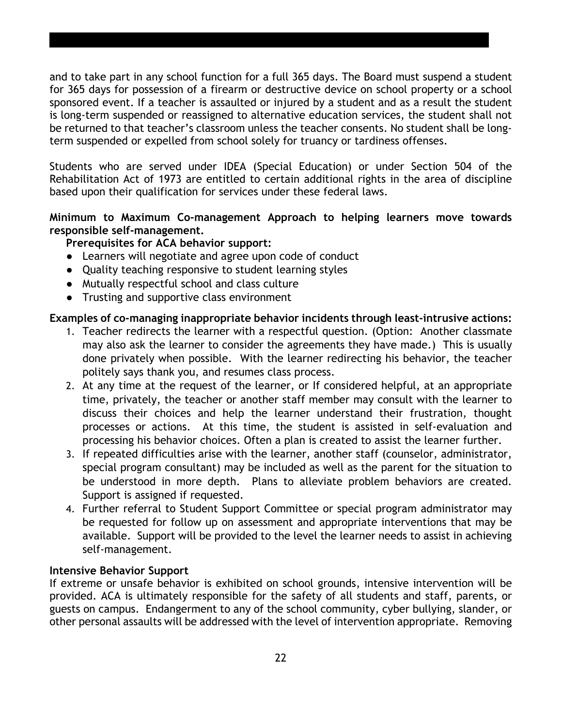and to take part in any school function for a full 365 days. The Board must suspend a student for 365 days for possession of a firearm or destructive device on school property or a school sponsored event. If a teacher is assaulted or injured by a student and as a result the student is long-term suspended or reassigned to alternative education services, the student shall not be returned to that teacher's classroom unless the teacher consents. No student shall be longterm suspended or expelled from school solely for truancy or tardiness offenses.

Students who are served under IDEA (Special Education) or under Section 504 of the Rehabilitation Act of 1973 are entitled to certain additional rights in the area of discipline based upon their qualification for services under these federal laws.

#### **Minimum to Maximum Co-management Approach to helping learners move towards responsible self-management.**

#### **Prerequisites for ACA behavior support:**

- Learners will negotiate and agree upon code of conduct
- Quality teaching responsive to student learning styles
- Mutually respectful school and class culture
- Trusting and supportive class environment

#### **Examples of co-managing inappropriate behavior incidents through least-intrusive actions:**

- 1. Teacher redirects the learner with a respectful question. (Option: Another classmate may also ask the learner to consider the agreements they have made.) This is usually done privately when possible. With the learner redirecting his behavior, the teacher politely says thank you, and resumes class process.
- 2. At any time at the request of the learner, or If considered helpful, at an appropriate time, privately, the teacher or another staff member may consult with the learner to discuss their choices and help the learner understand their frustration, thought processes or actions. At this time, the student is assisted in self-evaluation and processing his behavior choices. Often a plan is created to assist the learner further.
- 3. If repeated difficulties arise with the learner, another staff (counselor, administrator, special program consultant) may be included as well as the parent for the situation to be understood in more depth. Plans to alleviate problem behaviors are created. Support is assigned if requested.
- 4. Further referral to Student Support Committee or special program administrator may be requested for follow up on assessment and appropriate interventions that may be available. Support will be provided to the level the learner needs to assist in achieving self-management.

#### **Intensive Behavior Support**

If extreme or unsafe behavior is exhibited on school grounds, intensive intervention will be provided. ACA is ultimately responsible for the safety of all students and staff, parents, or guests on campus. Endangerment to any of the school community, cyber bullying, slander, or other personal assaults will be addressed with the level of intervention appropriate. Removing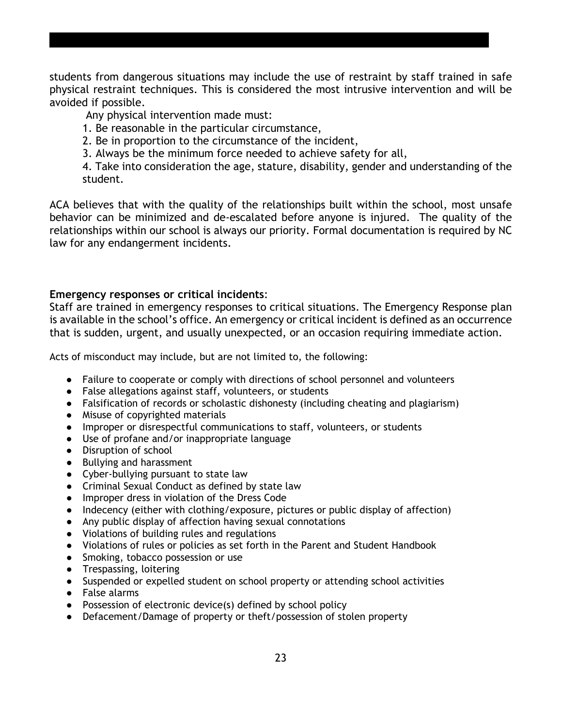students from dangerous situations may include the use of restraint by staff trained in safe physical restraint techniques. This is considered the most intrusive intervention and will be avoided if possible.

Any physical intervention made must:

- 1. Be reasonable in the particular circumstance,
- 2. Be in proportion to the circumstance of the incident,
- 3. Always be the minimum force needed to achieve safety for all,

4. Take into consideration the age, stature, disability, gender and understanding of the student.

ACA believes that with the quality of the relationships built within the school, most unsafe behavior can be minimized and de-escalated before anyone is injured. The quality of the relationships within our school is always our priority. Formal documentation is required by NC law for any endangerment incidents.

#### **Emergency responses or critical incidents**:

Staff are trained in emergency responses to critical situations. The Emergency Response plan is available in the school's office. An emergency or critical incident is defined as an occurrence that is sudden, urgent, and usually unexpected, or an occasion requiring immediate action.

Acts of misconduct may include, but are not limited to, the following:

- Failure to cooperate or comply with directions of school personnel and volunteers
- False allegations against staff, volunteers, or students
- Falsification of records or scholastic dishonesty (including cheating and plagiarism)
- Misuse of copyrighted materials
- Improper or disrespectful communications to staff, volunteers, or students
- Use of profane and/or inappropriate language
- Disruption of school
- Bullying and harassment
- Cyber-bullying pursuant to state law
- Criminal Sexual Conduct as defined by state law
- Improper dress in violation of the Dress Code
- Indecency (either with clothing/exposure, pictures or public display of affection)
- Any public display of affection having sexual connotations
- Violations of building rules and regulations
- Violations of rules or policies as set forth in the Parent and Student Handbook
- Smoking, tobacco possession or use
- Trespassing, loitering
- Suspended or expelled student on school property or attending school activities
- False alarms
- Possession of electronic device(s) defined by school policy
- Defacement/Damage of property or theft/possession of stolen property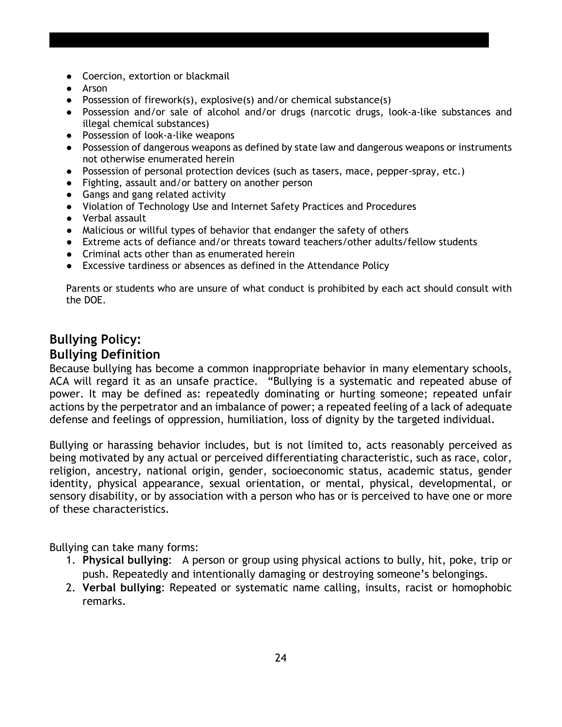- Coercion, extortion or blackmail
- Arson
- Possession of firework(s), explosive(s) and/or chemical substance(s)
- Possession and/or sale of alcohol and/or drugs (narcotic drugs, look-a-like substances and illegal chemical substances)
- Possession of look-a-like weapons
- Possession of dangerous weapons as defined by state law and dangerous weapons or instruments not otherwise enumerated herein
- Possession of personal protection devices (such as tasers, mace, pepper-spray, etc.)
- Fighting, assault and/or battery on another person
- Gangs and gang related activity
- Violation of Technology Use and Internet Safety Practices and Procedures
- Verbal assault
- Malicious or willful types of behavior that endanger the safety of others
- Extreme acts of defiance and/or threats toward teachers/other adults/fellow students
- Criminal acts other than as enumerated herein
- Excessive tardiness or absences as defined in the Attendance Policy

Parents or students who are unsure of what conduct is prohibited by each act should consult with the DOE.

# **Bullying Policy: Bullying Definition**

Because bullying has become a common inappropriate behavior in many elementary schools, ACA will regard it as an unsafe practice. "Bullying is a systematic and repeated abuse of power. It may be defined as: repeatedly dominating or hurting someone; repeated unfair actions by the perpetrator and an imbalance of power; a repeated feeling of a lack of adequate defense and feelings of oppression, humiliation, loss of dignity by the targeted individual.

Bullying or harassing behavior includes, but is not limited to, acts reasonably perceived as being motivated by any actual or perceived differentiating characteristic, such as race, color, religion, ancestry, national origin, gender, socioeconomic status, academic status, gender identity, physical appearance, sexual orientation, or mental, physical, developmental, or sensory disability, or by association with a person who has or is perceived to have one or more of these characteristics.

Bullying can take many forms:

- 1. **Physical bullying**: A person or group using physical actions to bully, hit, poke, trip or push. Repeatedly and intentionally damaging or destroying someone's belongings.
- 2. **Verbal bullying**: Repeated or systematic name calling, insults, racist or homophobic remarks.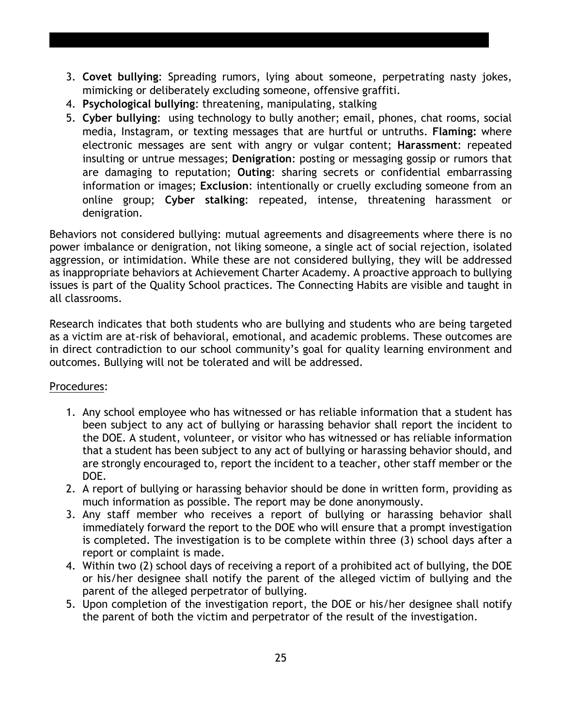- 3. **Covet bullying**: Spreading rumors, lying about someone, perpetrating nasty jokes, mimicking or deliberately excluding someone, offensive graffiti.
- 4. **Psychological bullying**: threatening, manipulating, stalking
- 5. **Cyber bullying**: using technology to bully another; email, phones, chat rooms, social media, Instagram, or texting messages that are hurtful or untruths. **Flaming:** where electronic messages are sent with angry or vulgar content; **Harassment**: repeated insulting or untrue messages; **Denigration**: posting or messaging gossip or rumors that are damaging to reputation; **Outing**: sharing secrets or confidential embarrassing information or images; **Exclusion**: intentionally or cruelly excluding someone from an online group; **Cyber stalking**: repeated, intense, threatening harassment or denigration.

Behaviors not considered bullying: mutual agreements and disagreements where there is no power imbalance or denigration, not liking someone, a single act of social rejection, isolated aggression, or intimidation. While these are not considered bullying, they will be addressed as inappropriate behaviors at Achievement Charter Academy. A proactive approach to bullying issues is part of the Quality School practices. The Connecting Habits are visible and taught in all classrooms.

Research indicates that both students who are bullying and students who are being targeted as a victim are at-risk of behavioral, emotional, and academic problems. These outcomes are in direct contradiction to our school community's goal for quality learning environment and outcomes. Bullying will not be tolerated and will be addressed.

#### Procedures:

- 1. Any school employee who has witnessed or has reliable information that a student has been subject to any act of bullying or harassing behavior shall report the incident to the DOE. A student, volunteer, or visitor who has witnessed or has reliable information that a student has been subject to any act of bullying or harassing behavior should, and are strongly encouraged to, report the incident to a teacher, other staff member or the DOE.
- 2. A report of bullying or harassing behavior should be done in written form, providing as much information as possible. The report may be done anonymously.
- 3. Any staff member who receives a report of bullying or harassing behavior shall immediately forward the report to the DOE who will ensure that a prompt investigation is completed. The investigation is to be complete within three (3) school days after a report or complaint is made.
- 4. Within two (2) school days of receiving a report of a prohibited act of bullying, the DOE or his/her designee shall notify the parent of the alleged victim of bullying and the parent of the alleged perpetrator of bullying.
- 5. Upon completion of the investigation report, the DOE or his/her designee shall notify the parent of both the victim and perpetrator of the result of the investigation.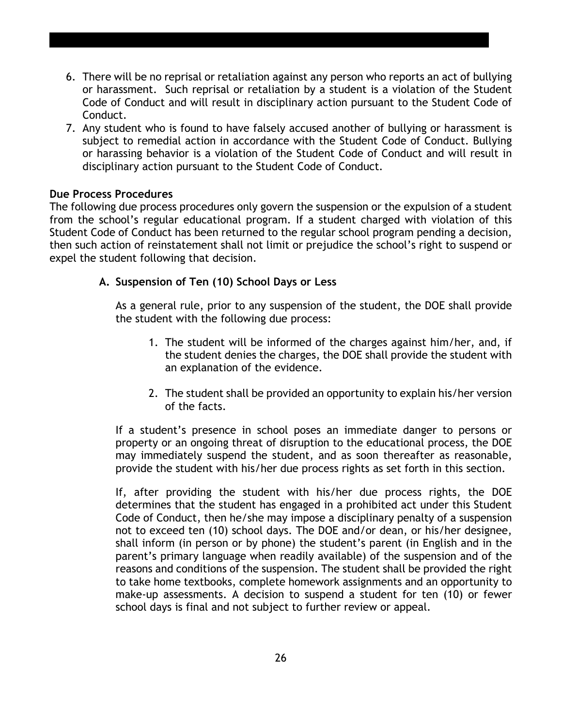- 6. There will be no reprisal or retaliation against any person who reports an act of bullying or harassment. Such reprisal or retaliation by a student is a violation of the Student Code of Conduct and will result in disciplinary action pursuant to the Student Code of Conduct.
- 7. Any student who is found to have falsely accused another of bullying or harassment is subject to remedial action in accordance with the Student Code of Conduct. Bullying or harassing behavior is a violation of the Student Code of Conduct and will result in disciplinary action pursuant to the Student Code of Conduct.

#### **Due Process Procedures**

The following due process procedures only govern the suspension or the expulsion of a student from the school's regular educational program. If a student charged with violation of this Student Code of Conduct has been returned to the regular school program pending a decision, then such action of reinstatement shall not limit or prejudice the school's right to suspend or expel the student following that decision.

#### **A. Suspension of Ten (10) School Days or Less**

As a general rule, prior to any suspension of the student, the DOE shall provide the student with the following due process:

- 1. The student will be informed of the charges against him/her, and, if the student denies the charges, the DOE shall provide the student with an explanation of the evidence.
- 2. The student shall be provided an opportunity to explain his/her version of the facts.

If a student's presence in school poses an immediate danger to persons or property or an ongoing threat of disruption to the educational process, the DOE may immediately suspend the student, and as soon thereafter as reasonable, provide the student with his/her due process rights as set forth in this section.

If, after providing the student with his/her due process rights, the DOE determines that the student has engaged in a prohibited act under this Student Code of Conduct, then he/she may impose a disciplinary penalty of a suspension not to exceed ten (10) school days. The DOE and/or dean, or his/her designee, shall inform (in person or by phone) the student's parent (in English and in the parent's primary language when readily available) of the suspension and of the reasons and conditions of the suspension. The student shall be provided the right to take home textbooks, complete homework assignments and an opportunity to make-up assessments. A decision to suspend a student for ten (10) or fewer school days is final and not subject to further review or appeal.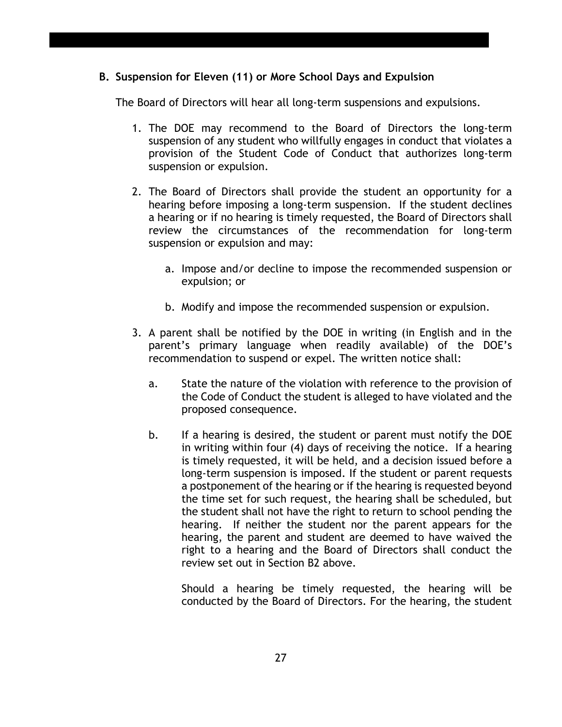#### **B. Suspension for Eleven (11) or More School Days and Expulsion**

The Board of Directors will hear all long-term suspensions and expulsions.

- 1. The DOE may recommend to the Board of Directors the long-term suspension of any student who willfully engages in conduct that violates a provision of the Student Code of Conduct that authorizes long-term suspension or expulsion.
- 2. The Board of Directors shall provide the student an opportunity for a hearing before imposing a long-term suspension. If the student declines a hearing or if no hearing is timely requested, the Board of Directors shall review the circumstances of the recommendation for long-term suspension or expulsion and may:
	- a. Impose and/or decline to impose the recommended suspension or expulsion; or
	- b. Modify and impose the recommended suspension or expulsion.
- 3. A parent shall be notified by the DOE in writing (in English and in the parent's primary language when readily available) of the DOE's recommendation to suspend or expel. The written notice shall:
	- a. State the nature of the violation with reference to the provision of the Code of Conduct the student is alleged to have violated and the proposed consequence.
	- b. If a hearing is desired, the student or parent must notify the DOE in writing within four (4) days of receiving the notice. If a hearing is timely requested, it will be held, and a decision issued before a long-term suspension is imposed. If the student or parent requests a postponement of the hearing or if the hearing is requested beyond the time set for such request, the hearing shall be scheduled, but the student shall not have the right to return to school pending the hearing. If neither the student nor the parent appears for the hearing, the parent and student are deemed to have waived the right to a hearing and the Board of Directors shall conduct the review set out in Section B2 above.

Should a hearing be timely requested, the hearing will be conducted by the Board of Directors. For the hearing, the student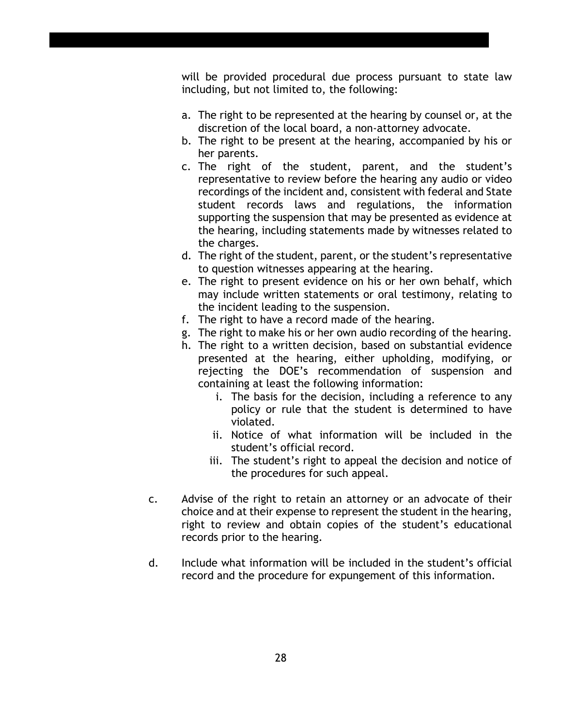will be provided procedural due process pursuant to state law including, but not limited to, the following:

- a. The right to be represented at the hearing by counsel or, at the discretion of the local board, a non-attorney advocate.
- b. The right to be present at the hearing, accompanied by his or her parents.
- c. The right of the student, parent, and the student's representative to review before the hearing any audio or video recordings of the incident and, consistent with federal and State student records laws and regulations, the information supporting the suspension that may be presented as evidence at the hearing, including statements made by witnesses related to the charges.
- d. The right of the student, parent, or the student's representative to question witnesses appearing at the hearing.
- e. The right to present evidence on his or her own behalf, which may include written statements or oral testimony, relating to the incident leading to the suspension.
- f. The right to have a record made of the hearing.
- g. The right to make his or her own audio recording of the hearing.
- h. The right to a written decision, based on substantial evidence presented at the hearing, either upholding, modifying, or rejecting the DOE's recommendation of suspension and containing at least the following information:
	- i. The basis for the decision, including a reference to any policy or rule that the student is determined to have violated.
	- ii. Notice of what information will be included in the student's official record.
	- iii. The student's right to appeal the decision and notice of the procedures for such appeal.
- c. Advise of the right to retain an attorney or an advocate of their choice and at their expense to represent the student in the hearing, right to review and obtain copies of the student's educational records prior to the hearing.
- d. Include what information will be included in the student's official record and the procedure for expungement of this information.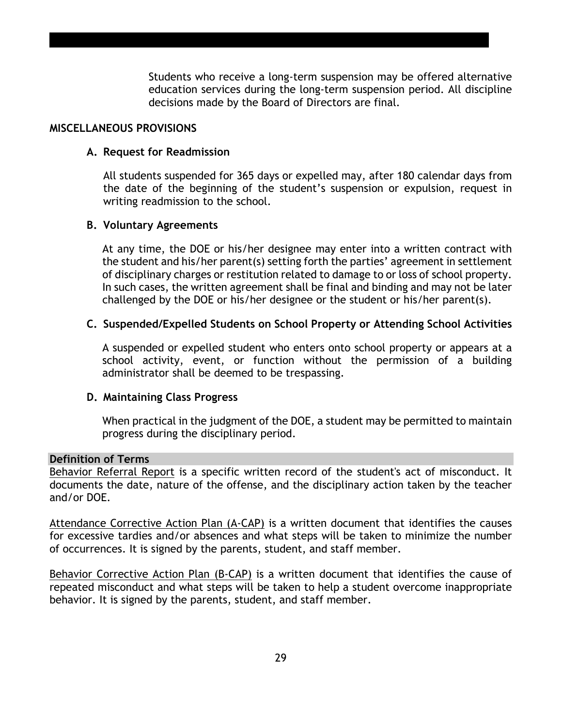Students who receive a long-term suspension may be offered alternative education services during the long-term suspension period. All discipline decisions made by the Board of Directors are final.

#### **MISCELLANEOUS PROVISIONS**

#### **A. Request for Readmission**

All students suspended for 365 days or expelled may, after 180 calendar days from the date of the beginning of the student's suspension or expulsion, request in writing readmission to the school.

#### **B. Voluntary Agreements**

At any time, the DOE or his/her designee may enter into a written contract with the student and his/her parent(s) setting forth the parties' agreement in settlement of disciplinary charges or restitution related to damage to or loss of school property. In such cases, the written agreement shall be final and binding and may not be later challenged by the DOE or his/her designee or the student or his/her parent(s).

#### **C. Suspended/Expelled Students on School Property or Attending School Activities**

A suspended or expelled student who enters onto school property or appears at a school activity, event, or function without the permission of a building administrator shall be deemed to be trespassing.

#### **D. Maintaining Class Progress**

When practical in the judgment of the DOE, a student may be permitted to maintain progress during the disciplinary period.

#### **Definition of Terms**

Behavior Referral Report is a specific written record of the student's act of misconduct. It documents the date, nature of the offense, and the disciplinary action taken by the teacher and/or DOE.

Attendance Corrective Action Plan (A-CAP) is a written document that identifies the causes for excessive tardies and/or absences and what steps will be taken to minimize the number of occurrences. It is signed by the parents, student, and staff member.

Behavior Corrective Action Plan (B-CAP) is a written document that identifies the cause of repeated misconduct and what steps will be taken to help a student overcome inappropriate behavior. It is signed by the parents, student, and staff member.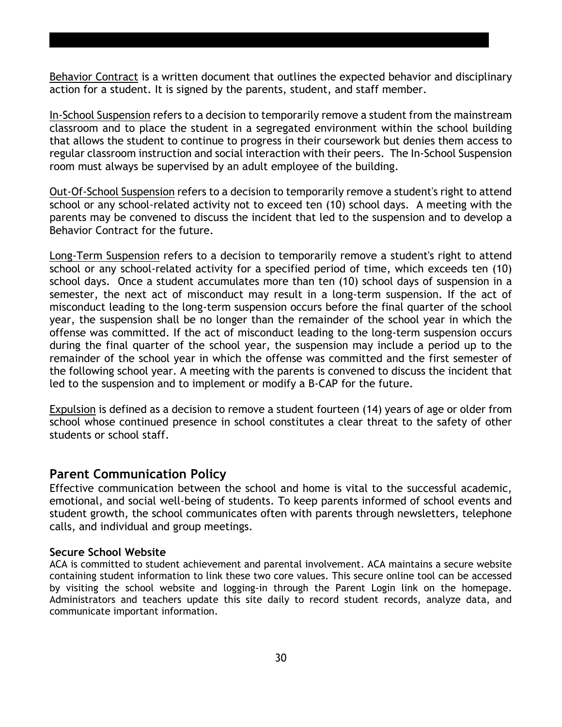Behavior Contract is a written document that outlines the expected behavior and disciplinary action for a student. It is signed by the parents, student, and staff member.

In-School Suspension refers to a decision to temporarily remove a student from the mainstream classroom and to place the student in a segregated environment within the school building that allows the student to continue to progress in their coursework but denies them access to regular classroom instruction and social interaction with their peers. The In-School Suspension room must always be supervised by an adult employee of the building.

Out-Of-School Suspension refers to a decision to temporarily remove a student's right to attend school or any school-related activity not to exceed ten (10) school days. A meeting with the parents may be convened to discuss the incident that led to the suspension and to develop a Behavior Contract for the future.

Long-Term Suspension refers to a decision to temporarily remove a student's right to attend school or any school-related activity for a specified period of time, which exceeds ten (10) school days. Once a student accumulates more than ten (10) school days of suspension in a semester, the next act of misconduct may result in a long-term suspension. If the act of misconduct leading to the long-term suspension occurs before the final quarter of the school year, the suspension shall be no longer than the remainder of the school year in which the offense was committed. If the act of misconduct leading to the long-term suspension occurs during the final quarter of the school year, the suspension may include a period up to the remainder of the school year in which the offense was committed and the first semester of the following school year. A meeting with the parents is convened to discuss the incident that led to the suspension and to implement or modify a B-CAP for the future.

Expulsion is defined as a decision to remove a student fourteen (14) years of age or older from school whose continued presence in school constitutes a clear threat to the safety of other students or school staff.

#### **Parent Communication Policy**

Effective communication between the school and home is vital to the successful academic, emotional, and social well-being of students. To keep parents informed of school events and student growth, the school communicates often with parents through newsletters, telephone calls, and individual and group meetings.

#### **Secure School Website**

ACA is committed to student achievement and parental involvement. ACA maintains a secure website containing student information to link these two core values. This secure online tool can be accessed by visiting the school website and logging-in through the Parent Login link on the homepage. Administrators and teachers update this site daily to record student records, analyze data, and communicate important information.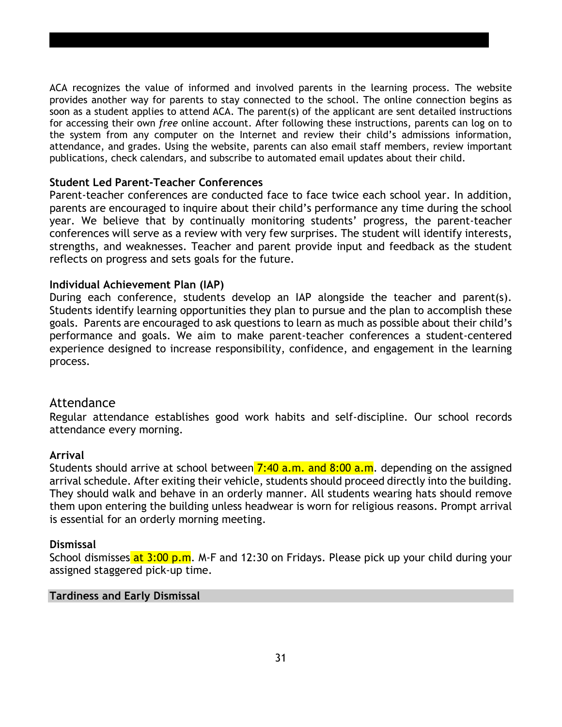ACA recognizes the value of informed and involved parents in the learning process. The website provides another way for parents to stay connected to the school. The online connection begins as soon as a student applies to attend ACA. The parent(s) of the applicant are sent detailed instructions for accessing their own *free* online account. After following these instructions, parents can log on to the system from any computer on the Internet and review their child's admissions information, attendance, and grades. Using the website, parents can also email staff members, review important publications, check calendars, and subscribe to automated email updates about their child.

#### **Student Led Parent-Teacher Conferences**

Parent-teacher conferences are conducted face to face twice each school year. In addition, parents are encouraged to inquire about their child's performance any time during the school year. We believe that by continually monitoring students' progress, the parent-teacher conferences will serve as a review with very few surprises. The student will identify interests, strengths, and weaknesses. Teacher and parent provide input and feedback as the student reflects on progress and sets goals for the future.

#### **Individual Achievement Plan (IAP)**

During each conference, students develop an IAP alongside the teacher and parent(s). Students identify learning opportunities they plan to pursue and the plan to accomplish these goals. Parents are encouraged to ask questions to learn as much as possible about their child's performance and goals. We aim to make parent-teacher conferences a student-centered experience designed to increase responsibility, confidence, and engagement in the learning process.

#### Attendance

Regular attendance establishes good work habits and self-discipline. Our school records attendance every morning.

#### **Arrival**

Students should arrive at school between  $7:40$  a.m. and  $8:00$  a.m. depending on the assigned arrival schedule. After exiting their vehicle, students should proceed directly into the building. They should walk and behave in an orderly manner. All students wearing hats should remove them upon entering the building unless headwear is worn for religious reasons. Prompt arrival is essential for an orderly morning meeting.

#### **Dismissal**

School dismisses at 3:00 p.m. M-F and 12:30 on Fridays. Please pick up your child during your assigned staggered pick-up time.

#### **Tardiness and Early Dismissal**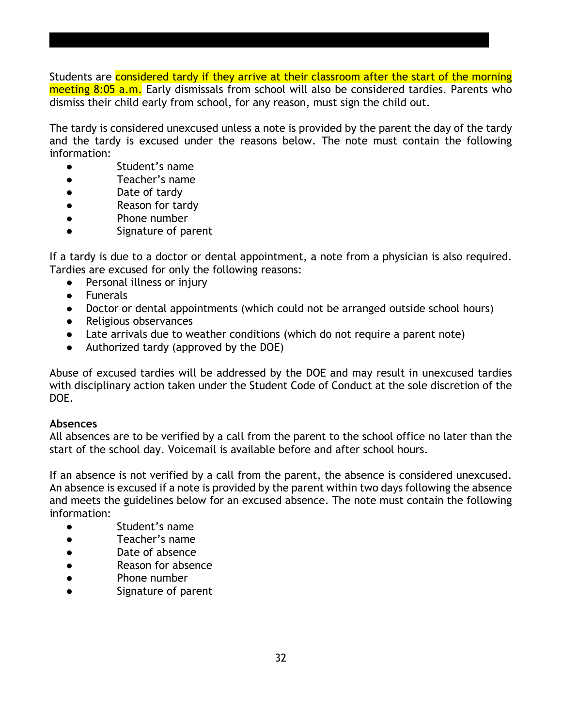Students are considered tardy if they arrive at their classroom after the start of the morning meeting 8:05 a.m. Early dismissals from school will also be considered tardies. Parents who dismiss their child early from school, for any reason, must sign the child out.

The tardy is considered unexcused unless a note is provided by the parent the day of the tardy and the tardy is excused under the reasons below. The note must contain the following information:

- Student's name
- Teacher's name
- Date of tardy
- Reason for tardy
- Phone number
- Signature of parent

If a tardy is due to a doctor or dental appointment, a note from a physician is also required. Tardies are excused for only the following reasons:

- Personal illness or injury
- Funerals
- Doctor or dental appointments (which could not be arranged outside school hours)
- Religious observances
- Late arrivals due to weather conditions (which do not require a parent note)
- Authorized tardy (approved by the DOE)

Abuse of excused tardies will be addressed by the DOE and may result in unexcused tardies with disciplinary action taken under the Student Code of Conduct at the sole discretion of the DOE.

#### **Absences**

All absences are to be verified by a call from the parent to the school office no later than the start of the school day. Voicemail is available before and after school hours.

If an absence is not verified by a call from the parent, the absence is considered unexcused. An absence is excused if a note is provided by the parent within two days following the absence and meets the guidelines below for an excused absence. The note must contain the following information:

- Student's name
- Teacher's name
- Date of absence
- Reason for absence
- Phone number
- Signature of parent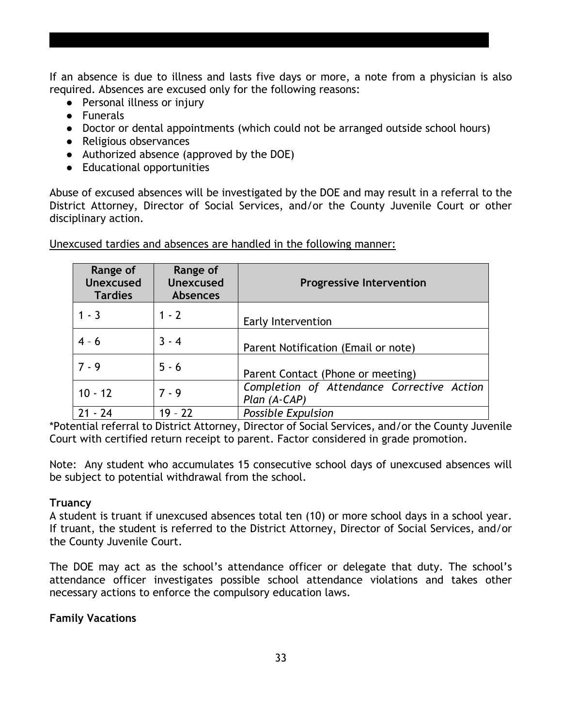If an absence is due to illness and lasts five days or more, a note from a physician is also required. Absences are excused only for the following reasons:

- Personal illness or injury
- Funerals
- Doctor or dental appointments (which could not be arranged outside school hours)
- Religious observances
- Authorized absence (approved by the DOE)
- Educational opportunities

Abuse of excused absences will be investigated by the DOE and may result in a referral to the District Attorney, Director of Social Services, and/or the County Juvenile Court or other disciplinary action.

| Range of<br><b>Unexcused</b><br><b>Tardies</b> | Range of<br><b>Unexcused</b><br><b>Absences</b> | <b>Progressive Intervention</b>                              |
|------------------------------------------------|-------------------------------------------------|--------------------------------------------------------------|
| $1 - 3$                                        | $1 - 2$                                         | Early Intervention                                           |
| $4 - 6$                                        | $3 - 4$                                         | Parent Notification (Email or note)                          |
| $7 - 9$                                        | $5 - 6$                                         | Parent Contact (Phone or meeting)                            |
| $10 - 12$                                      | $7 - 9$                                         | Completion of Attendance Corrective Action<br>$Plan (A-CAP)$ |
| $21 - 24$                                      | $19 - 22$                                       | <b>Possible Expulsion</b>                                    |

Unexcused tardies and absences are handled in the following manner:

\*Potential referral to District Attorney, Director of Social Services, and/or the County Juvenile Court with certified return receipt to parent. Factor considered in grade promotion.

Note: Any student who accumulates 15 consecutive school days of unexcused absences will be subject to potential withdrawal from the school.

#### **Truancy**

A student is truant if unexcused absences total ten (10) or more school days in a school year. If truant, the student is referred to the District Attorney, Director of Social Services, and/or the County Juvenile Court.

The DOE may act as the school's attendance officer or delegate that duty. The school's attendance officer investigates possible school attendance violations and takes other necessary actions to enforce the compulsory education laws.

#### **Family Vacations**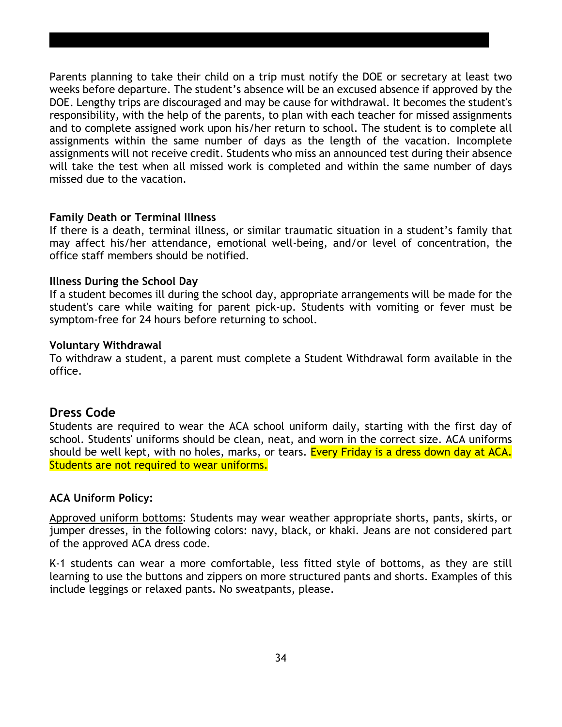Parents planning to take their child on a trip must notify the DOE or secretary at least two weeks before departure. The student's absence will be an excused absence if approved by the DOE. Lengthy trips are discouraged and may be cause for withdrawal. It becomes the student's responsibility, with the help of the parents, to plan with each teacher for missed assignments and to complete assigned work upon his/her return to school. The student is to complete all assignments within the same number of days as the length of the vacation. Incomplete assignments will not receive credit. Students who miss an announced test during their absence will take the test when all missed work is completed and within the same number of days missed due to the vacation.

#### **Family Death or Terminal Illness**

If there is a death, terminal illness, or similar traumatic situation in a student's family that may affect his/her attendance, emotional well-being, and/or level of concentration, the office staff members should be notified.

#### **Illness During the School Day**

If a student becomes ill during the school day, appropriate arrangements will be made for the student's care while waiting for parent pick-up. Students with vomiting or fever must be symptom-free for 24 hours before returning to school.

#### **Voluntary Withdrawal**

To withdraw a student, a parent must complete a Student Withdrawal form available in the office.

## **Dress Code**

Students are required to wear the ACA school uniform daily, starting with the first day of school. Students' uniforms should be clean, neat, and worn in the correct size. ACA uniforms should be well kept, with no holes, marks, or tears. Every Friday is a dress down day at ACA. Students are not required to wear uniforms.

#### **ACA Uniform Policy:**

Approved uniform bottoms: Students may wear weather appropriate shorts, pants, skirts, or jumper dresses, in the following colors: navy, black, or khaki. Jeans are not considered part of the approved ACA dress code.

K-1 students can wear a more comfortable, less fitted style of bottoms, as they are still learning to use the buttons and zippers on more structured pants and shorts. Examples of this include leggings or relaxed pants. No sweatpants, please.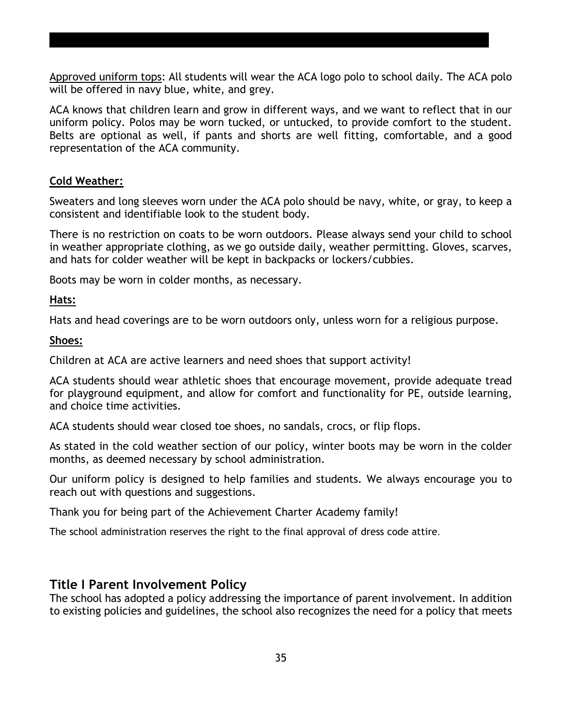Approved uniform tops: All students will wear the ACA logo polo to school daily. The ACA polo will be offered in navy blue, white, and grey.

ACA knows that children learn and grow in different ways, and we want to reflect that in our uniform policy. Polos may be worn tucked, or untucked, to provide comfort to the student. Belts are optional as well, if pants and shorts are well fitting, comfortable, and a good representation of the ACA community.

#### **Cold Weather:**

Sweaters and long sleeves worn under the ACA polo should be navy, white, or gray, to keep a consistent and identifiable look to the student body.

There is no restriction on coats to be worn outdoors. Please always send your child to school in weather appropriate clothing, as we go outside daily, weather permitting. Gloves, scarves, and hats for colder weather will be kept in backpacks or lockers/cubbies.

Boots may be worn in colder months, as necessary.

#### **Hats:**

Hats and head coverings are to be worn outdoors only, unless worn for a religious purpose.

#### **Shoes:**

Children at ACA are active learners and need shoes that support activity!

ACA students should wear athletic shoes that encourage movement, provide adequate tread for playground equipment, and allow for comfort and functionality for PE, outside learning, and choice time activities.

ACA students should wear closed toe shoes, no sandals, crocs, or flip flops.

As stated in the cold weather section of our policy, winter boots may be worn in the colder months, as deemed necessary by school administration.

Our uniform policy is designed to help families and students. We always encourage you to reach out with questions and suggestions.

Thank you for being part of the Achievement Charter Academy family!

The school administration reserves the right to the final approval of dress code attire.

## **Title I Parent Involvement Policy**

The school has adopted a policy addressing the importance of parent involvement. In addition to existing policies and guidelines, the school also recognizes the need for a policy that meets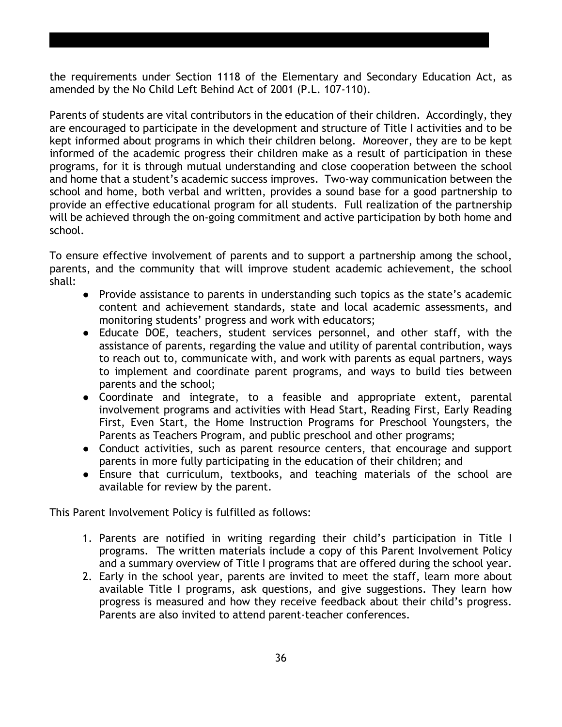the requirements under Section 1118 of the Elementary and Secondary Education Act, as amended by the No Child Left Behind Act of 2001 (P.L. 107-110).

Parents of students are vital contributors in the education of their children. Accordingly, they are encouraged to participate in the development and structure of Title I activities and to be kept informed about programs in which their children belong. Moreover, they are to be kept informed of the academic progress their children make as a result of participation in these programs, for it is through mutual understanding and close cooperation between the school and home that a student's academic success improves. Two-way communication between the school and home, both verbal and written, provides a sound base for a good partnership to provide an effective educational program for all students. Full realization of the partnership will be achieved through the on-going commitment and active participation by both home and school.

To ensure effective involvement of parents and to support a partnership among the school, parents, and the community that will improve student academic achievement, the school shall:

- Provide assistance to parents in understanding such topics as the state's academic content and achievement standards, state and local academic assessments, and monitoring students' progress and work with educators;
- Educate DOE, teachers, student services personnel, and other staff, with the assistance of parents, regarding the value and utility of parental contribution, ways to reach out to, communicate with, and work with parents as equal partners, ways to implement and coordinate parent programs, and ways to build ties between parents and the school;
- Coordinate and integrate, to a feasible and appropriate extent, parental involvement programs and activities with Head Start, Reading First, Early Reading First, Even Start, the Home Instruction Programs for Preschool Youngsters, the Parents as Teachers Program, and public preschool and other programs;
- Conduct activities, such as parent resource centers, that encourage and support parents in more fully participating in the education of their children; and
- Ensure that curriculum, textbooks, and teaching materials of the school are available for review by the parent.

This Parent Involvement Policy is fulfilled as follows:

- 1. Parents are notified in writing regarding their child's participation in Title I programs. The written materials include a copy of this Parent Involvement Policy and a summary overview of Title I programs that are offered during the school year.
- 2. Early in the school year, parents are invited to meet the staff, learn more about available Title I programs, ask questions, and give suggestions. They learn how progress is measured and how they receive feedback about their child's progress. Parents are also invited to attend parent-teacher conferences.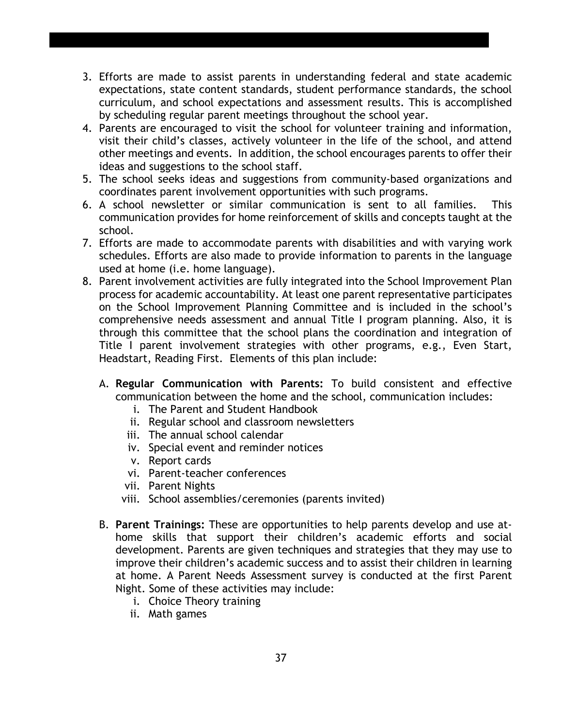- 3. Efforts are made to assist parents in understanding federal and state academic expectations, state content standards, student performance standards, the school curriculum, and school expectations and assessment results. This is accomplished by scheduling regular parent meetings throughout the school year.
- 4. Parents are encouraged to visit the school for volunteer training and information, visit their child's classes, actively volunteer in the life of the school, and attend other meetings and events. In addition, the school encourages parents to offer their ideas and suggestions to the school staff.
- 5. The school seeks ideas and suggestions from community-based organizations and coordinates parent involvement opportunities with such programs.
- 6. A school newsletter or similar communication is sent to all families. This communication provides for home reinforcement of skills and concepts taught at the school.
- 7. Efforts are made to accommodate parents with disabilities and with varying work schedules. Efforts are also made to provide information to parents in the language used at home (i.e. home language).
- 8. Parent involvement activities are fully integrated into the School Improvement Plan process for academic accountability. At least one parent representative participates on the School Improvement Planning Committee and is included in the school's comprehensive needs assessment and annual Title I program planning. Also, it is through this committee that the school plans the coordination and integration of Title I parent involvement strategies with other programs, e.g., Even Start, Headstart, Reading First. Elements of this plan include:
	- A. **Regular Communication with Parents:** To build consistent and effective communication between the home and the school, communication includes:
		- i. The Parent and Student Handbook
		- ii. Regular school and classroom newsletters
		- iii. The annual school calendar
		- iv. Special event and reminder notices
		- v. Report cards
		- vi. Parent-teacher conferences
		- vii. Parent Nights
		- viii. School assemblies/ceremonies (parents invited)
	- B. **Parent Trainings:** These are opportunities to help parents develop and use athome skills that support their children's academic efforts and social development. Parents are given techniques and strategies that they may use to improve their children's academic success and to assist their children in learning at home. A Parent Needs Assessment survey is conducted at the first Parent Night. Some of these activities may include:
		- i. Choice Theory training
		- ii. Math games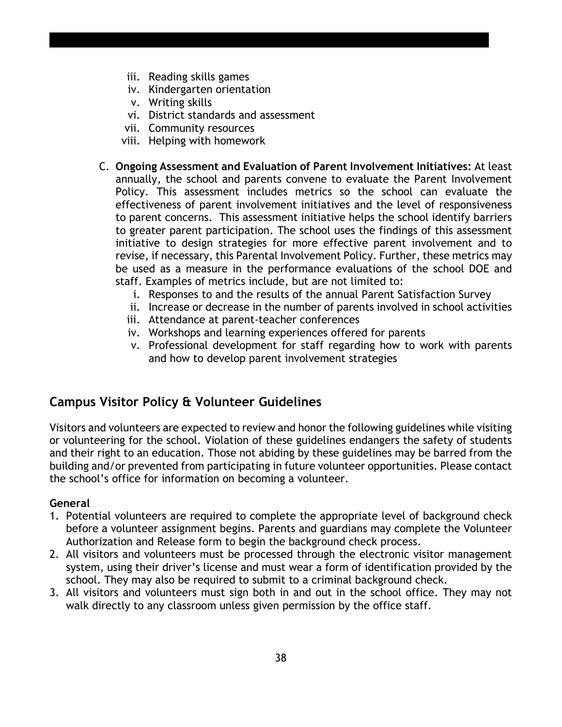- iii. Reading skills games
- iv. Kindergarten orientation
- v. Writing skills
- vi. District standards and assessment
- vii. Community resources
- viii. Helping with homework
- C. **Ongoing Assessment and Evaluation of Parent Involvement Initiatives:** At least annually, the school and parents convene to evaluate the Parent Involvement Policy. This assessment includes metrics so the school can evaluate the effectiveness of parent involvement initiatives and the level of responsiveness to parent concerns. This assessment initiative helps the school identify barriers to greater parent participation. The school uses the findings of this assessment initiative to design strategies for more effective parent involvement and to revise, if necessary, this Parental Involvement Policy. Further, these metrics may be used as a measure in the performance evaluations of the school DOE and staff. Examples of metrics include, but are not limited to:
	- i. Responses to and the results of the annual Parent Satisfaction Survey
	- ii. Increase or decrease in the number of parents involved in school activities
	- iii. Attendance at parent-teacher conferences
	- iv. Workshops and learning experiences offered for parents
	- v. Professional development for staff regarding how to work with parents and how to develop parent involvement strategies

# **Campus Visitor Policy & Volunteer Guidelines**

Visitors and volunteers are expected to review and honor the following guidelines while visiting or volunteering for the school. Violation of these guidelines endangers the safety of students and their right to an education. Those not abiding by these guidelines may be barred from the building and/or prevented from participating in future volunteer opportunities. Please contact the school's office for information on becoming a volunteer.

#### **General**

- 1. Potential volunteers are required to complete the appropriate level of background check before a volunteer assignment begins. Parents and guardians may complete the Volunteer Authorization and Release form to begin the background check process.
- 2. All visitors and volunteers must be processed through the electronic visitor management system, using their driver's license and must wear a form of identification provided by the school. They may also be required to submit to a criminal background check.
- 3. All visitors and volunteers must sign both in and out in the school office. They may not walk directly to any classroom unless given permission by the office staff.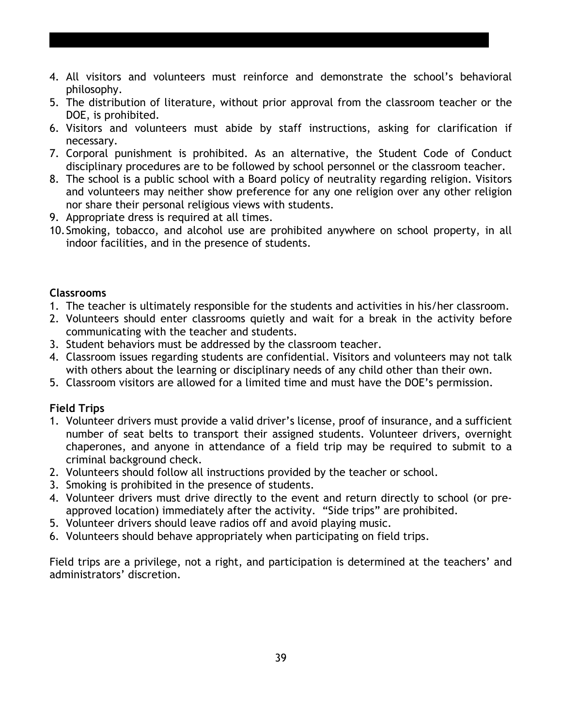- 4. All visitors and volunteers must reinforce and demonstrate the school's behavioral philosophy.
- 5. The distribution of literature, without prior approval from the classroom teacher or the DOE, is prohibited.
- 6. Visitors and volunteers must abide by staff instructions, asking for clarification if necessary.
- 7. Corporal punishment is prohibited. As an alternative, the Student Code of Conduct disciplinary procedures are to be followed by school personnel or the classroom teacher.
- 8. The school is a public school with a Board policy of neutrality regarding religion. Visitors and volunteers may neither show preference for any one religion over any other religion nor share their personal religious views with students.
- 9. Appropriate dress is required at all times.
- 10.Smoking, tobacco, and alcohol use are prohibited anywhere on school property, in all indoor facilities, and in the presence of students.

#### **Classrooms**

- 1. The teacher is ultimately responsible for the students and activities in his/her classroom.
- 2. Volunteers should enter classrooms quietly and wait for a break in the activity before communicating with the teacher and students.
- 3. Student behaviors must be addressed by the classroom teacher.
- 4. Classroom issues regarding students are confidential. Visitors and volunteers may not talk with others about the learning or disciplinary needs of any child other than their own.
- 5. Classroom visitors are allowed for a limited time and must have the DOE's permission.

#### **Field Trips**

- 1. Volunteer drivers must provide a valid driver's license, proof of insurance, and a sufficient number of seat belts to transport their assigned students. Volunteer drivers, overnight chaperones, and anyone in attendance of a field trip may be required to submit to a criminal background check.
- 2. Volunteers should follow all instructions provided by the teacher or school.
- 3. Smoking is prohibited in the presence of students.
- 4. Volunteer drivers must drive directly to the event and return directly to school (or preapproved location) immediately after the activity. "Side trips" are prohibited.
- 5. Volunteer drivers should leave radios off and avoid playing music.
- 6. Volunteers should behave appropriately when participating on field trips.

Field trips are a privilege, not a right, and participation is determined at the teachers' and administrators' discretion.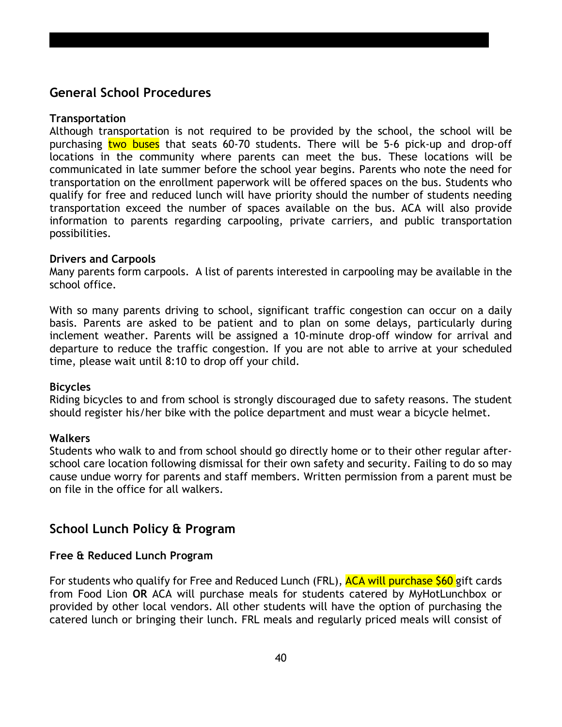# **General School Procedures**

#### **Transportation**

Although transportation is not required to be provided by the school, the school will be purchasing two buses that seats 60-70 students. There will be 5-6 pick-up and drop-off locations in the community where parents can meet the bus. These locations will be communicated in late summer before the school year begins. Parents who note the need for transportation on the enrollment paperwork will be offered spaces on the bus. Students who qualify for free and reduced lunch will have priority should the number of students needing transportation exceed the number of spaces available on the bus. ACA will also provide information to parents regarding carpooling, private carriers, and public transportation possibilities.

#### **Drivers and Carpools**

Many parents form carpools. A list of parents interested in carpooling may be available in the school office.

With so many parents driving to school, significant traffic congestion can occur on a daily basis. Parents are asked to be patient and to plan on some delays, particularly during inclement weather. Parents will be assigned a 10-minute drop-off window for arrival and departure to reduce the traffic congestion. If you are not able to arrive at your scheduled time, please wait until 8:10 to drop off your child.

#### **Bicycles**

Riding bicycles to and from school is strongly discouraged due to safety reasons. The student should register his/her bike with the police department and must wear a bicycle helmet.

#### **Walkers**

Students who walk to and from school should go directly home or to their other regular afterschool care location following dismissal for their own safety and security. Failing to do so may cause undue worry for parents and staff members. Written permission from a parent must be on file in the office for all walkers.

# **School Lunch Policy & Program**

#### **Free & Reduced Lunch Program**

For students who qualify for Free and Reduced Lunch (FRL), **ACA will purchase \$60** gift cards from Food Lion **OR** ACA will purchase meals for students catered by MyHotLunchbox or provided by other local vendors. All other students will have the option of purchasing the catered lunch or bringing their lunch. FRL meals and regularly priced meals will consist of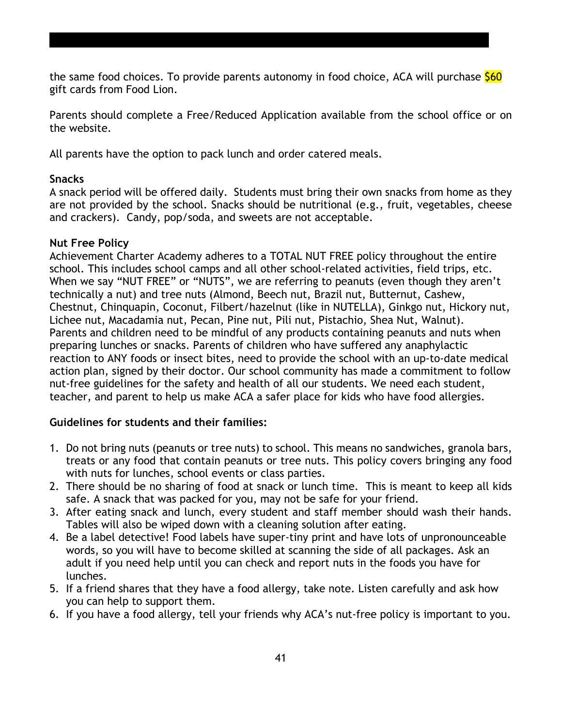the same food choices. To provide parents autonomy in food choice, ACA will purchase  $$60$ gift cards from Food Lion.

Parents should complete a Free/Reduced Application available from the school office or on the website.

All parents have the option to pack lunch and order catered meals.

#### **Snacks**

A snack period will be offered daily. Students must bring their own snacks from home as they are not provided by the school. Snacks should be nutritional (e.g., fruit, vegetables, cheese and crackers). Candy, pop/soda, and sweets are not acceptable.

#### **Nut Free Policy**

Achievement Charter Academy adheres to a TOTAL NUT FREE policy throughout the entire school. This includes school camps and all other school-related activities, field trips, etc. When we say "NUT FREE" or "NUTS", we are referring to peanuts (even though they aren't technically a nut) and tree nuts (Almond, Beech nut, Brazil nut, Butternut, Cashew, Chestnut, Chinquapin, Coconut, Filbert/hazelnut (like in NUTELLA), Ginkgo nut, Hickory nut, Lichee nut, Macadamia nut, Pecan, Pine nut, Pili nut, Pistachio, Shea Nut, Walnut). Parents and children need to be mindful of any products containing peanuts and nuts when preparing lunches or snacks. Parents of children who have suffered any anaphylactic reaction to ANY foods or insect bites, need to provide the school with an up-to-date medical action plan, signed by their doctor. Our school community has made a commitment to follow nut-free guidelines for the safety and health of all our students. We need each student, teacher, and parent to help us make ACA a safer place for kids who have food allergies.

## **Guidelines for students and their families:**

- 1. Do not bring nuts (peanuts or tree nuts) to school. This means no sandwiches, granola bars, treats or any food that contain peanuts or tree nuts. This policy covers bringing any food with nuts for lunches, school events or class parties.
- 2. There should be no sharing of food at snack or lunch time. This is meant to keep all kids safe. A snack that was packed for you, may not be safe for your friend.
- 3. After eating snack and lunch, every student and staff member should wash their hands. Tables will also be wiped down with a cleaning solution after eating.
- 4. Be a label detective! Food labels have super-tiny print and have lots of unpronounceable words, so you will have to become skilled at scanning the side of all packages. Ask an adult if you need help until you can check and report nuts in the foods you have for lunches.
- 5. If a friend shares that they have a food allergy, take note. Listen carefully and ask how you can help to support them.
- 6. If you have a food allergy, tell your friends why ACA's nut-free policy is important to you.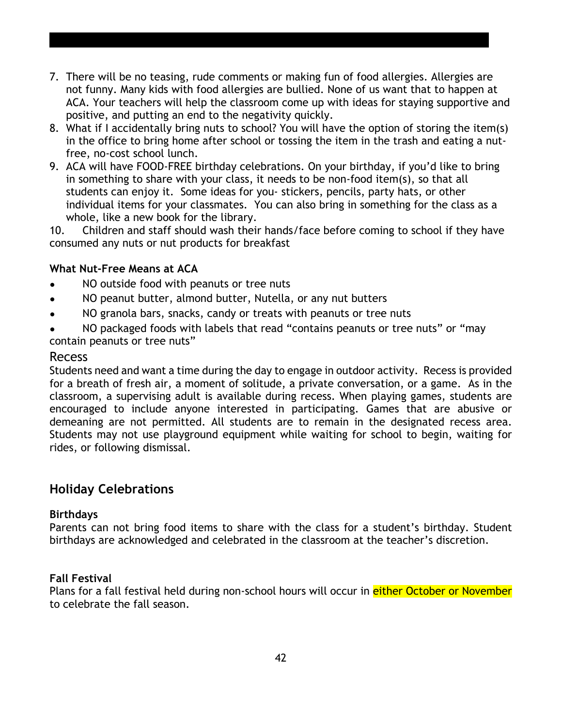- 7. There will be no teasing, rude comments or making fun of food allergies. Allergies are not funny. Many kids with food allergies are bullied. None of us want that to happen at ACA. Your teachers will help the classroom come up with ideas for staying supportive and positive, and putting an end to the negativity quickly.
- 8. What if I accidentally bring nuts to school? You will have the option of storing the item(s) in the office to bring home after school or tossing the item in the trash and eating a nutfree, no-cost school lunch.
- 9. ACA will have FOOD-FREE birthday celebrations. On your birthday, if you'd like to bring in something to share with your class, it needs to be non-food item(s), so that all students can enjoy it. Some ideas for you- stickers, pencils, party hats, or other individual items for your classmates. You can also bring in something for the class as a whole, like a new book for the library.

10. Children and staff should wash their hands/face before coming to school if they have consumed any nuts or nut products for breakfast

#### **What Nut-Free Means at ACA**

- NO outside food with peanuts or tree nuts
- NO peanut butter, almond butter, Nutella, or any nut butters
- NO granola bars, snacks, candy or treats with peanuts or tree nuts
- NO packaged foods with labels that read "contains peanuts or tree nuts" or "may contain peanuts or tree nuts"

#### Recess

Students need and want a time during the day to engage in outdoor activity. Recess is provided for a breath of fresh air, a moment of solitude, a private conversation, or a game. As in the classroom, a supervising adult is available during recess. When playing games, students are encouraged to include anyone interested in participating. Games that are abusive or demeaning are not permitted. All students are to remain in the designated recess area. Students may not use playground equipment while waiting for school to begin, waiting for rides, or following dismissal.

# **Holiday Celebrations**

#### **Birthdays**

Parents can not bring food items to share with the class for a student's birthday. Student birthdays are acknowledged and celebrated in the classroom at the teacher's discretion.

#### **Fall Festival**

Plans for a fall festival held during non-school hours will occur in either October or November to celebrate the fall season.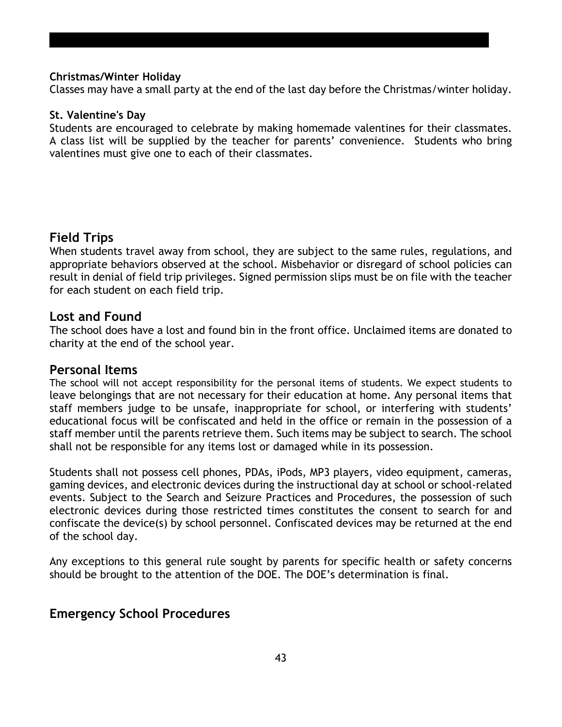#### **Christmas/Winter Holiday**

Classes may have a small party at the end of the last day before the Christmas/winter holiday.

#### **St. Valentine's Day**

Students are encouraged to celebrate by making homemade valentines for their classmates. A class list will be supplied by the teacher for parents' convenience. Students who bring valentines must give one to each of their classmates.

# **Field Trips**

When students travel away from school, they are subject to the same rules, regulations, and appropriate behaviors observed at the school. Misbehavior or disregard of school policies can result in denial of field trip privileges. Signed permission slips must be on file with the teacher for each student on each field trip.

#### **Lost and Found**

The school does have a lost and found bin in the front office. Unclaimed items are donated to charity at the end of the school year.

#### **Personal Items**

The school will not accept responsibility for the personal items of students. We expect students to leave belongings that are not necessary for their education at home. Any personal items that staff members judge to be unsafe, inappropriate for school, or interfering with students' educational focus will be confiscated and held in the office or remain in the possession of a staff member until the parents retrieve them. Such items may be subject to search. The school shall not be responsible for any items lost or damaged while in its possession.

Students shall not possess cell phones, PDAs, iPods, MP3 players, video equipment, cameras, gaming devices, and electronic devices during the instructional day at school or school-related events. Subject to the Search and Seizure Practices and Procedures, the possession of such electronic devices during those restricted times constitutes the consent to search for and confiscate the device(s) by school personnel. Confiscated devices may be returned at the end of the school day.

Any exceptions to this general rule sought by parents for specific health or safety concerns should be brought to the attention of the DOE. The DOE's determination is final.

## **Emergency School Procedures**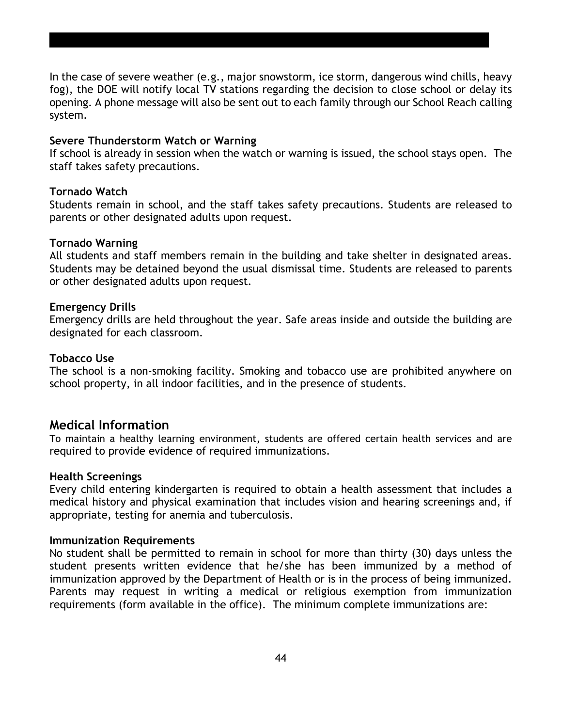In the case of severe weather (e.g., major snowstorm, ice storm, dangerous wind chills, heavy fog), the DOE will notify local TV stations regarding the decision to close school or delay its opening. A phone message will also be sent out to each family through our School Reach calling system.

#### **Severe Thunderstorm Watch or Warning**

If school is already in session when the watch or warning is issued, the school stays open. The staff takes safety precautions.

#### **Tornado Watch**

Students remain in school, and the staff takes safety precautions. Students are released to parents or other designated adults upon request.

#### **Tornado Warning**

All students and staff members remain in the building and take shelter in designated areas. Students may be detained beyond the usual dismissal time. Students are released to parents or other designated adults upon request.

#### **Emergency Drills**

Emergency drills are held throughout the year. Safe areas inside and outside the building are designated for each classroom.

#### **Tobacco Use**

The school is a non-smoking facility. Smoking and tobacco use are prohibited anywhere on school property, in all indoor facilities, and in the presence of students.

#### **Medical Information**

To maintain a healthy learning environment, students are offered certain health services and are required to provide evidence of required immunizations.

#### **Health Screenings**

Every child entering kindergarten is required to obtain a health assessment that includes a medical history and physical examination that includes vision and hearing screenings and, if appropriate, testing for anemia and tuberculosis.

#### **Immunization Requirements**

No student shall be permitted to remain in school for more than thirty (30) days unless the student presents written evidence that he/she has been immunized by a method of immunization approved by the Department of Health or is in the process of being immunized. Parents may request in writing a medical or religious exemption from immunization requirements (form available in the office). The minimum complete immunizations are: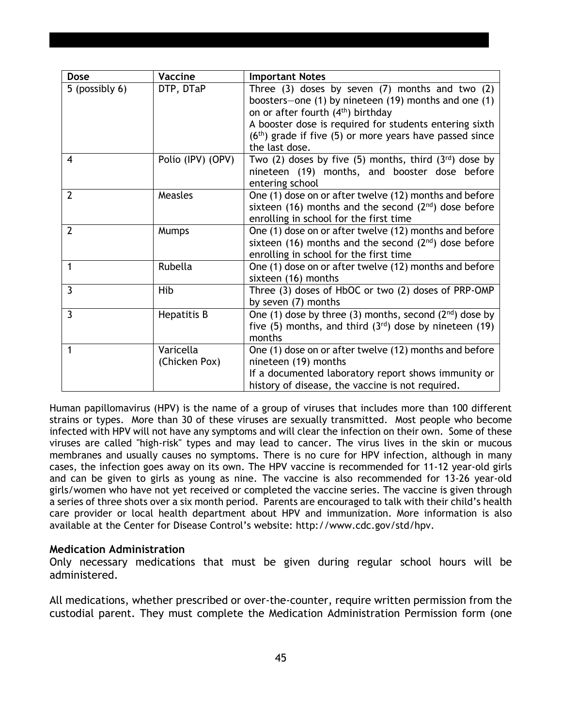| <b>Dose</b>    | <b>Vaccine</b>             | <b>Important Notes</b>                                                                                                                                                                                                                                                                                   |
|----------------|----------------------------|----------------------------------------------------------------------------------------------------------------------------------------------------------------------------------------------------------------------------------------------------------------------------------------------------------|
| 5 (possibly 6) | DTP, DTaP                  | Three $(3)$ doses by seven $(7)$ months and two $(2)$<br>boosters-one (1) by nineteen (19) months and one (1)<br>on or after fourth (4 <sup>th</sup> ) birthday<br>A booster dose is required for students entering sixth<br>$(6th)$ grade if five (5) or more years have passed since<br>the last dose. |
| $\overline{4}$ | Polio (IPV) (OPV)          | Two (2) doses by five (5) months, third $(3^{rd})$ dose by<br>nineteen (19) months, and booster dose before<br>entering school                                                                                                                                                                           |
| $\overline{2}$ | Measles                    | One (1) dose on or after twelve (12) months and before<br>sixteen (16) months and the second $(2^{nd})$ dose before<br>enrolling in school for the first time                                                                                                                                            |
| $\overline{2}$ | Mumps                      | One (1) dose on or after twelve (12) months and before<br>sixteen (16) months and the second $(2^{nd})$ dose before<br>enrolling in school for the first time                                                                                                                                            |
| $\mathbf 1$    | Rubella                    | One (1) dose on or after twelve (12) months and before<br>sixteen (16) months                                                                                                                                                                                                                            |
| $\overline{3}$ | Hib                        | Three (3) doses of HbOC or two (2) doses of PRP-OMP<br>by seven (7) months                                                                                                                                                                                                                               |
| 3              | Hepatitis B                | One (1) dose by three (3) months, second $(2^{nd})$ dose by<br>five (5) months, and third $(3^{rd})$ dose by nineteen (19)<br>months                                                                                                                                                                     |
| 1              | Varicella<br>(Chicken Pox) | One (1) dose on or after twelve (12) months and before<br>nineteen (19) months<br>If a documented laboratory report shows immunity or<br>history of disease, the vaccine is not required.                                                                                                                |

Human papillomavirus (HPV) is the name of a group of viruses that includes more than 100 different strains or types. More than 30 of these viruses are sexually transmitted. Most people who become infected with HPV will not have any symptoms and will clear the infection on their own. Some of these viruses are called "high-risk" types and may lead to cancer. The virus lives in the skin or mucous membranes and usually causes no symptoms. There is no cure for HPV infection, although in many cases, the infection goes away on its own. The HPV vaccine is recommended for 11-12 year-old girls and can be given to girls as young as nine. The vaccine is also recommended for 13-26 year-old girls/women who have not yet received or completed the vaccine series. The vaccine is given through a series of three shots over a six month period. Parents are encouraged to talk with their child's health care provider or local health department about HPV and immunization. More information is also available at the Center for Disease Control's website: http://www.cdc.gov/std/hpv.

#### **Medication Administration**

Only necessary medications that must be given during regular school hours will be administered.

All medications, whether prescribed or over-the-counter, require written permission from the custodial parent. They must complete the Medication Administration Permission form (one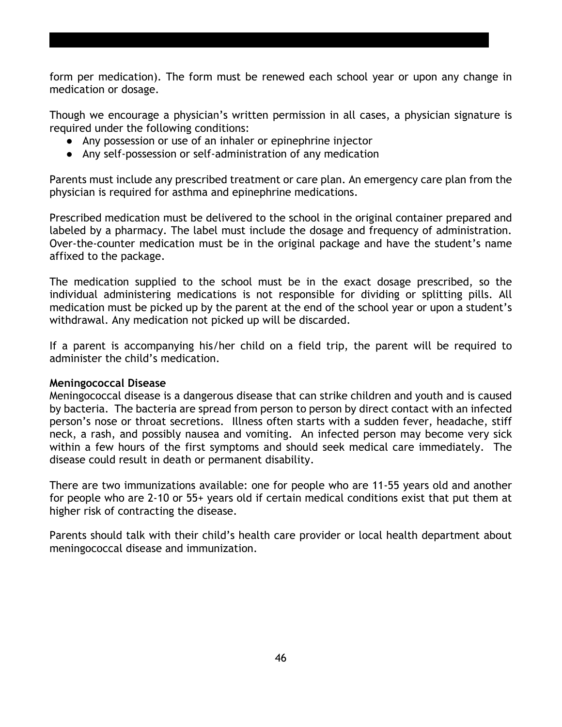form per medication). The form must be renewed each school year or upon any change in medication or dosage.

Though we encourage a physician's written permission in all cases, a physician signature is required under the following conditions:

- Any possession or use of an inhaler or epinephrine injector
- Any self-possession or self-administration of any medication

Parents must include any prescribed treatment or care plan. An emergency care plan from the physician is required for asthma and epinephrine medications.

Prescribed medication must be delivered to the school in the original container prepared and labeled by a pharmacy. The label must include the dosage and frequency of administration. Over-the-counter medication must be in the original package and have the student's name affixed to the package.

The medication supplied to the school must be in the exact dosage prescribed, so the individual administering medications is not responsible for dividing or splitting pills. All medication must be picked up by the parent at the end of the school year or upon a student's withdrawal. Any medication not picked up will be discarded.

If a parent is accompanying his/her child on a field trip, the parent will be required to administer the child's medication.

#### **Meningococcal Disease**

Meningococcal disease is a dangerous disease that can strike children and youth and is caused by bacteria. The bacteria are spread from person to person by direct contact with an infected person's nose or throat secretions. Illness often starts with a sudden fever, headache, stiff neck, a rash, and possibly nausea and vomiting. An infected person may become very sick within a few hours of the first symptoms and should seek medical care immediately. The disease could result in death or permanent disability.

There are two immunizations available: one for people who are 11-55 years old and another for people who are 2-10 or 55+ years old if certain medical conditions exist that put them at higher risk of contracting the disease.

Parents should talk with their child's health care provider or local health department about meningococcal disease and immunization.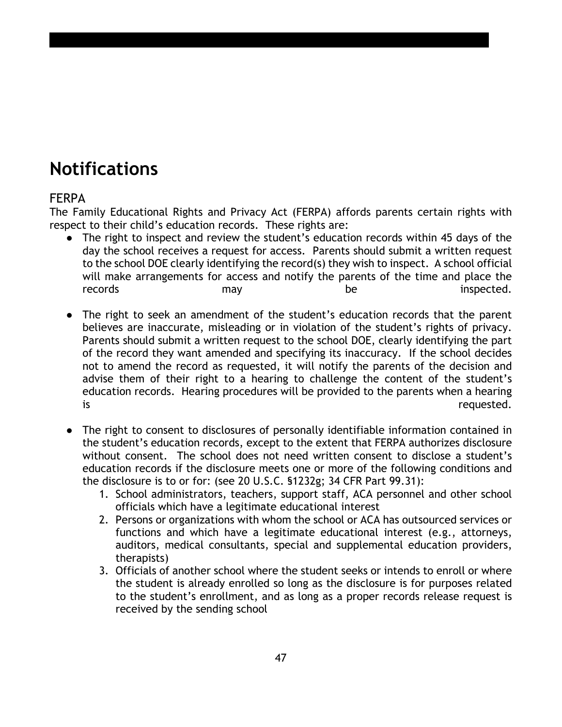# **Notifications**

# FERPA

The Family Educational Rights and Privacy Act (FERPA) affords parents certain rights with respect to their child's education records. These rights are:

- The right to inspect and review the student's education records within 45 days of the day the school receives a request for access. Parents should submit a written request to the school DOE clearly identifying the record(s) they wish to inspect. A school official will make arrangements for access and notify the parents of the time and place the records may may be inspected.
- The right to seek an amendment of the student's education records that the parent believes are inaccurate, misleading or in violation of the student's rights of privacy. Parents should submit a written request to the school DOE, clearly identifying the part of the record they want amended and specifying its inaccuracy. If the school decides not to amend the record as requested, it will notify the parents of the decision and advise them of their right to a hearing to challenge the content of the student's education records. Hearing procedures will be provided to the parents when a hearing is **is** requested.
- The right to consent to disclosures of personally identifiable information contained in the student's education records, except to the extent that FERPA authorizes disclosure without consent. The school does not need written consent to disclose a student's education records if the disclosure meets one or more of the following conditions and the disclosure is to or for: (see 20 U.S.C. §1232g; 34 CFR Part 99.31):
	- 1. School administrators, teachers, support staff, ACA personnel and other school officials which have a legitimate educational interest
	- 2. Persons or organizations with whom the school or ACA has outsourced services or functions and which have a legitimate educational interest (e.g., attorneys, auditors, medical consultants, special and supplemental education providers, therapists)
	- 3. Officials of another school where the student seeks or intends to enroll or where the student is already enrolled so long as the disclosure is for purposes related to the student's enrollment, and as long as a proper records release request is received by the sending school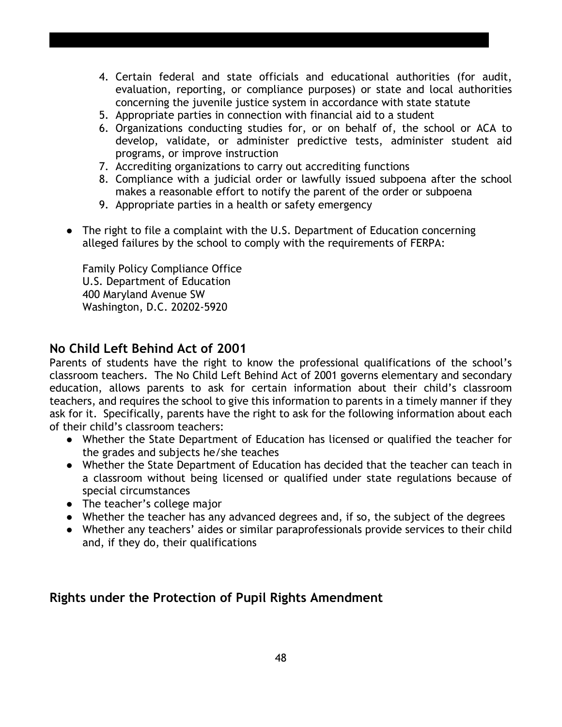- 4. Certain federal and state officials and educational authorities (for audit, evaluation, reporting, or compliance purposes) or state and local authorities concerning the juvenile justice system in accordance with state statute
- 5. Appropriate parties in connection with financial aid to a student
- 6. Organizations conducting studies for, or on behalf of, the school or ACA to develop, validate, or administer predictive tests, administer student aid programs, or improve instruction
- 7. Accrediting organizations to carry out accrediting functions
- 8. Compliance with a judicial order or lawfully issued subpoena after the school makes a reasonable effort to notify the parent of the order or subpoena
- 9. Appropriate parties in a health or safety emergency
- The right to file a complaint with the U.S. Department of Education concerning alleged failures by the school to comply with the requirements of FERPA:

Family Policy Compliance Office U.S. Department of Education 400 Maryland Avenue SW Washington, D.C. 20202-5920

# **No Child Left Behind Act of 2001**

Parents of students have the right to know the professional qualifications of the school's classroom teachers. The No Child Left Behind Act of 2001 governs elementary and secondary education, allows parents to ask for certain information about their child's classroom teachers, and requires the school to give this information to parents in a timely manner if they ask for it. Specifically, parents have the right to ask for the following information about each of their child's classroom teachers:

- Whether the State Department of Education has licensed or qualified the teacher for the grades and subjects he/she teaches
- Whether the State Department of Education has decided that the teacher can teach in a classroom without being licensed or qualified under state regulations because of special circumstances
- The teacher's college major
- Whether the teacher has any advanced degrees and, if so, the subject of the degrees
- Whether any teachers' aides or similar paraprofessionals provide services to their child and, if they do, their qualifications

# **Rights under the Protection of Pupil Rights Amendment**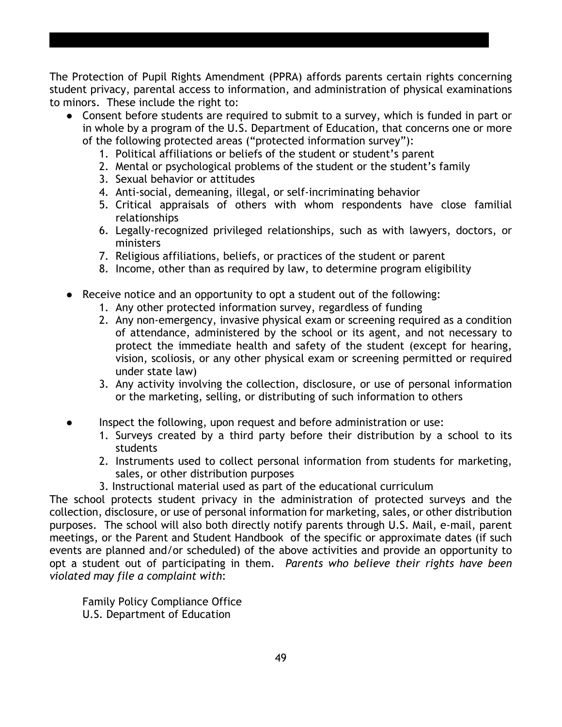The Protection of Pupil Rights Amendment (PPRA) affords parents certain rights concerning student privacy, parental access to information, and administration of physical examinations to minors. These include the right to:

- Consent before students are required to submit to a survey, which is funded in part or in whole by a program of the U.S. Department of Education, that concerns one or more of the following protected areas ("protected information survey"):
	- 1. Political affiliations or beliefs of the student or student's parent
	- 2. Mental or psychological problems of the student or the student's family
	- 3. Sexual behavior or attitudes
	- 4. Anti-social, demeaning, illegal, or self-incriminating behavior
	- 5. Critical appraisals of others with whom respondents have close familial relationships
	- 6. Legally-recognized privileged relationships, such as with lawyers, doctors, or ministers
	- 7. Religious affiliations, beliefs, or practices of the student or parent
	- 8. Income, other than as required by law, to determine program eligibility
- Receive notice and an opportunity to opt a student out of the following:
	- 1. Any other protected information survey, regardless of funding
	- 2. Any non-emergency, invasive physical exam or screening required as a condition of attendance, administered by the school or its agent, and not necessary to protect the immediate health and safety of the student (except for hearing, vision, scoliosis, or any other physical exam or screening permitted or required under state law)
	- 3. Any activity involving the collection, disclosure, or use of personal information or the marketing, selling, or distributing of such information to others
- Inspect the following, upon request and before administration or use:
	- 1. Surveys created by a third party before their distribution by a school to its students
	- 2. Instruments used to collect personal information from students for marketing, sales, or other distribution purposes
	- 3. Instructional material used as part of the educational curriculum

The school protects student privacy in the administration of protected surveys and the collection, disclosure, or use of personal information for marketing, sales, or other distribution purposes. The school will also both directly notify parents through U.S. Mail, e-mail, parent meetings, or the Parent and Student Handbook of the specific or approximate dates (if such events are planned and/or scheduled) of the above activities and provide an opportunity to opt a student out of participating in them. *Parents who believe their rights have been violated may file a complaint with*:

Family Policy Compliance Office U.S. Department of Education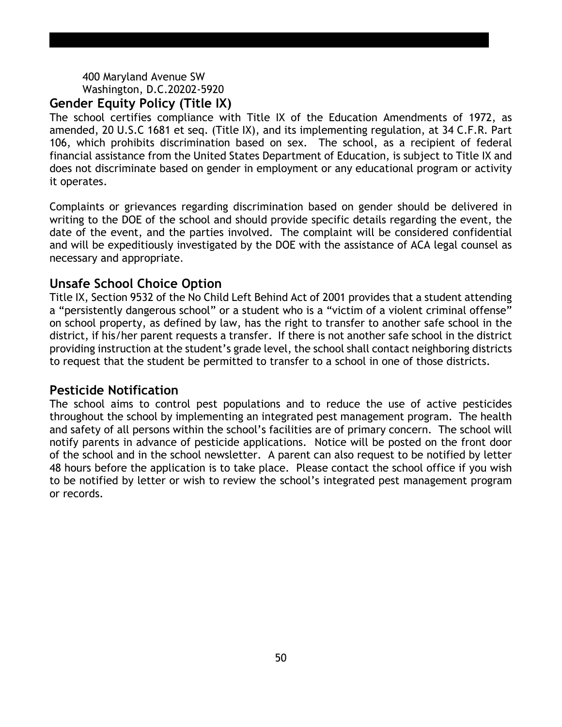#### 400 Maryland Avenue SW Washington, D.C.20202-5920 **Gender Equity Policy (Title IX)**

The school certifies compliance with Title IX of the Education Amendments of 1972, as amended, 20 U.S.C 1681 et seq. (Title IX), and its implementing regulation, at 34 C.F.R. Part 106, which prohibits discrimination based on sex. The school, as a recipient of federal financial assistance from the United States Department of Education, is subject to Title IX and does not discriminate based on gender in employment or any educational program or activity it operates.

Complaints or grievances regarding discrimination based on gender should be delivered in writing to the DOE of the school and should provide specific details regarding the event, the date of the event, and the parties involved. The complaint will be considered confidential and will be expeditiously investigated by the DOE with the assistance of ACA legal counsel as necessary and appropriate.

# **Unsafe School Choice Option**

Title IX, Section 9532 of the No Child Left Behind Act of 2001 provides that a student attending a "persistently dangerous school" or a student who is a "victim of a violent criminal offense" on school property, as defined by law, has the right to transfer to another safe school in the district, if his/her parent requests a transfer. If there is not another safe school in the district providing instruction at the student's grade level, the school shall contact neighboring districts to request that the student be permitted to transfer to a school in one of those districts.

# **Pesticide Notification**

The school aims to control pest populations and to reduce the use of active pesticides throughout the school by implementing an integrated pest management program. The health and safety of all persons within the school's facilities are of primary concern. The school will notify parents in advance of pesticide applications. Notice will be posted on the front door of the school and in the school newsletter. A parent can also request to be notified by letter 48 hours before the application is to take place. Please contact the school office if you wish to be notified by letter or wish to review the school's integrated pest management program or records.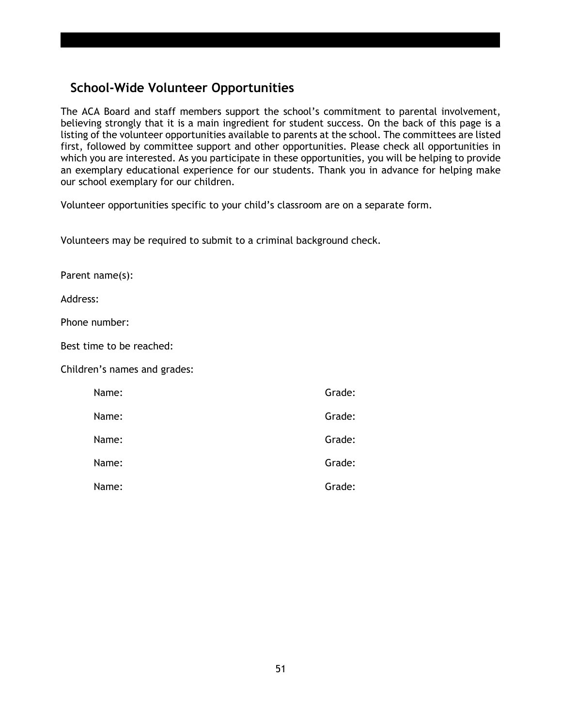# **School-Wide Volunteer Opportunities**

The ACA Board and staff members support the school's commitment to parental involvement, believing strongly that it is a main ingredient for student success. On the back of this page is a listing of the volunteer opportunities available to parents at the school. The committees are listed first, followed by committee support and other opportunities. Please check all opportunities in which you are interested. As you participate in these opportunities, you will be helping to provide an exemplary educational experience for our students. Thank you in advance for helping make our school exemplary for our children.

Volunteer opportunities specific to your child's classroom are on a separate form.

Volunteers may be required to submit to a criminal background check.

Parent name(s):

Address:

Phone number:

Best time to be reached:

Children's names and grades:

| Name: | Grade: |
|-------|--------|
| Name: | Grade: |
| Name: | Grade: |
| Name: | Grade: |
| Name: | Grade: |